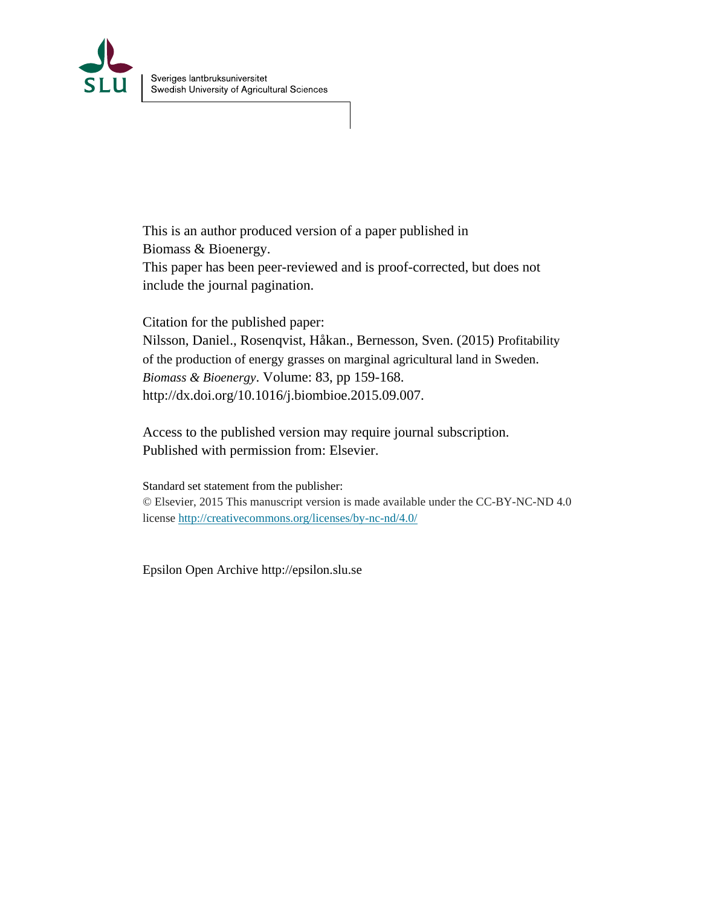

This is an author produced version of a paper published in Biomass & Bioenergy. This paper has been peer-reviewed and is proof-corrected, but does not include the journal pagination.

Citation for the published paper: Nilsson, Daniel., Rosenqvist, Håkan., Bernesson, Sven. (2015) Profitability of the production of energy grasses on marginal agricultural land in Sweden. *Biomass & Bioenergy*. Volume: 83, pp 159-168. http://dx.doi.org/10.1016/j.biombioe.2015.09.007.

Access to the published version may require journal subscription. Published with permission from: Elsevier.

Standard set statement from the publisher: © Elsevier, 2015 This manuscript version is made available under the CC-BY-NC-ND 4.0 license http://creativecommons.org/licenses/by-nc-nd/4.0/

Epsilon Open Archive http://epsilon.slu.se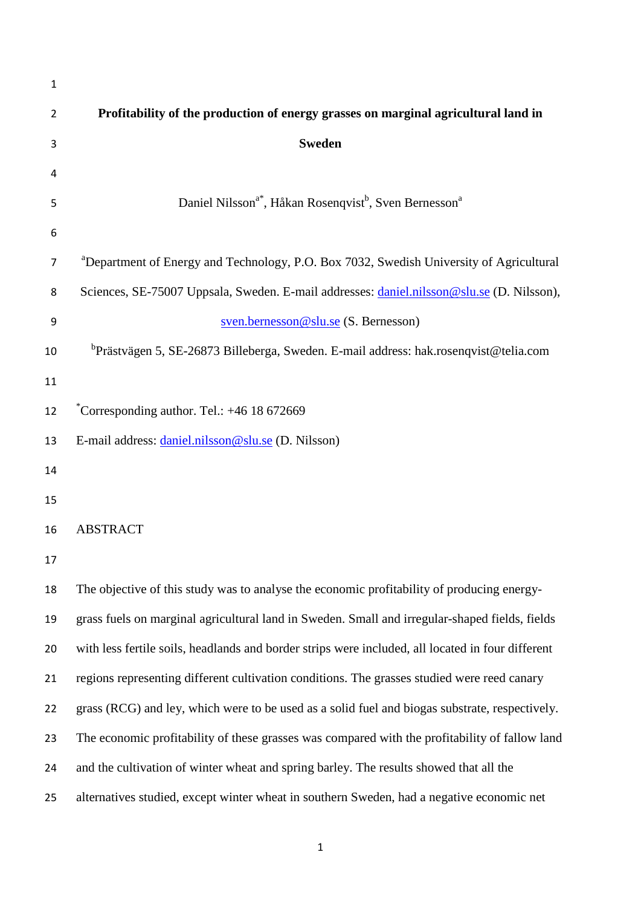| $\mathbf{1}$   |                                                                                                     |
|----------------|-----------------------------------------------------------------------------------------------------|
| $\overline{2}$ | Profitability of the production of energy grasses on marginal agricultural land in                  |
| 3              | <b>Sweden</b>                                                                                       |
| 4              |                                                                                                     |
| 5              | Daniel Nilsson <sup>a*</sup> , Håkan Rosenqvist <sup>b</sup> , Sven Bernesson <sup>a</sup>          |
| 6              |                                                                                                     |
| $\overline{7}$ | <sup>a</sup> Department of Energy and Technology, P.O. Box 7032, Swedish University of Agricultural |
| 8              | Sciences, SE-75007 Uppsala, Sweden. E-mail addresses: daniel.nilsson@slu.se (D. Nilsson),           |
| 9              | sven.bernesson@slu.se (S. Bernesson)                                                                |
| 10             | ${}^{b}$ Prästvägen 5, SE-26873 Billeberga, Sweden. E-mail address: hak.rosenqvist@telia.com        |
| 11             |                                                                                                     |
| 12             | Corresponding author. Tel.: +46 18 672669                                                           |
| 13             | E-mail address: daniel.nilsson@slu.se (D. Nilsson)                                                  |
| 14             |                                                                                                     |
| 15             |                                                                                                     |
| 16             | <b>ABSTRACT</b>                                                                                     |
| 17             |                                                                                                     |
| 18             | The objective of this study was to analyse the economic profitability of producing energy-          |
| 19             | grass fuels on marginal agricultural land in Sweden. Small and irregular-shaped fields, fields      |
| 20             | with less fertile soils, headlands and border strips were included, all located in four different   |
| 21             | regions representing different cultivation conditions. The grasses studied were reed canary         |
| 22             | grass (RCG) and ley, which were to be used as a solid fuel and biogas substrate, respectively.      |
| 23             | The economic profitability of these grasses was compared with the profitability of fallow land      |
| 24             | and the cultivation of winter wheat and spring barley. The results showed that all the              |
| 25             | alternatives studied, except winter wheat in southern Sweden, had a negative economic net           |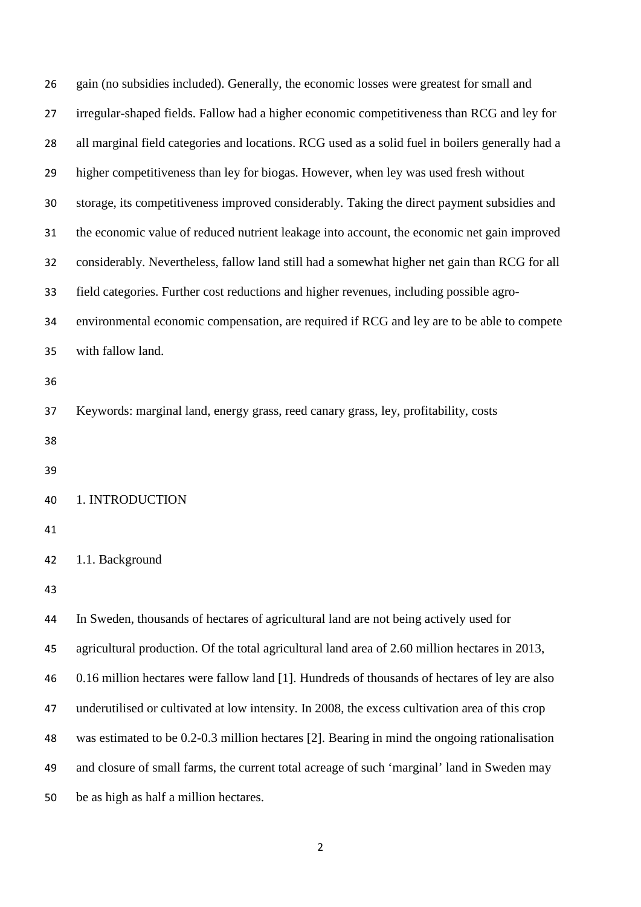| 26 | gain (no subsidies included). Generally, the economic losses were greatest for small and         |
|----|--------------------------------------------------------------------------------------------------|
| 27 | irregular-shaped fields. Fallow had a higher economic competitiveness than RCG and ley for       |
| 28 | all marginal field categories and locations. RCG used as a solid fuel in boilers generally had a |
| 29 | higher competitiveness than ley for biogas. However, when ley was used fresh without             |
| 30 | storage, its competitiveness improved considerably. Taking the direct payment subsidies and      |
| 31 | the economic value of reduced nutrient leakage into account, the economic net gain improved      |
| 32 | considerably. Nevertheless, fallow land still had a somewhat higher net gain than RCG for all    |
| 33 | field categories. Further cost reductions and higher revenues, including possible agro-          |
| 34 | environmental economic compensation, are required if RCG and ley are to be able to compete       |
| 35 | with fallow land.                                                                                |
| 36 |                                                                                                  |
| 37 | Keywords: marginal land, energy grass, reed canary grass, ley, profitability, costs              |
| 38 |                                                                                                  |
| 39 |                                                                                                  |
| 40 | 1. INTRODUCTION                                                                                  |
| 41 |                                                                                                  |
| 42 | 1.1. Background                                                                                  |
| 43 |                                                                                                  |
| 44 | In Sweden, thousands of hectares of agricultural land are not being actively used for            |
| 45 | agricultural production. Of the total agricultural land area of 2.60 million hectares in 2013,   |
| 46 | 0.16 million hectares were fallow land [1]. Hundreds of thousands of hectares of ley are also    |
| 47 | underutilised or cultivated at low intensity. In 2008, the excess cultivation area of this crop  |
| 48 | was estimated to be 0.2-0.3 million hectares [2]. Bearing in mind the ongoing rationalisation    |
| 49 | and closure of small farms, the current total acreage of such 'marginal' land in Sweden may      |
| 50 | be as high as half a million hectares.                                                           |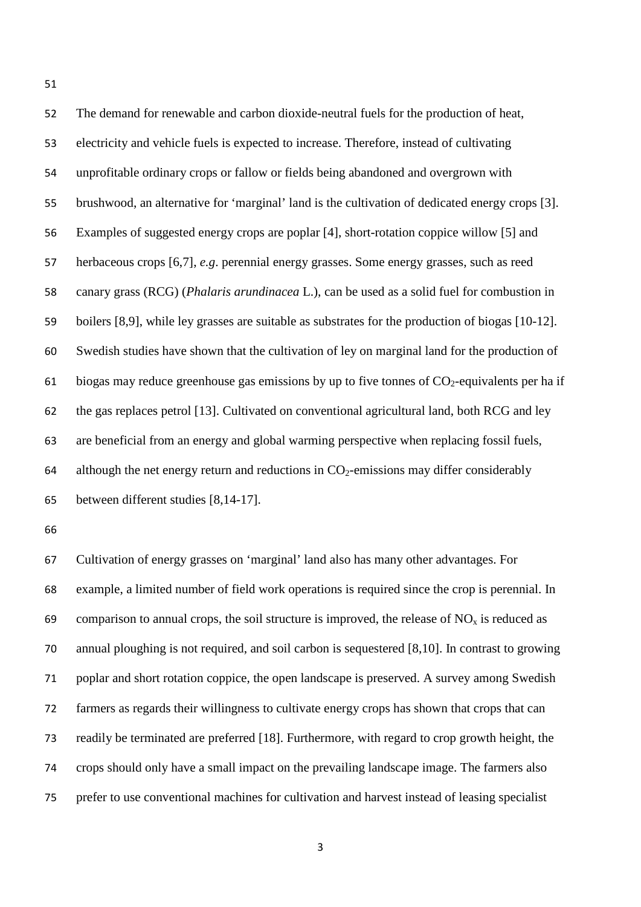The demand for renewable and carbon dioxide-neutral fuels for the production of heat, electricity and vehicle fuels is expected to increase. Therefore, instead of cultivating unprofitable ordinary crops or fallow or fields being abandoned and overgrown with brushwood, an alternative for 'marginal' land is the cultivation of dedicated energy crops [3]. Examples of suggested energy crops are poplar [4], short-rotation coppice willow [5] and herbaceous crops [6,7], *e.g*. perennial energy grasses. Some energy grasses, such as reed canary grass (RCG) (*Phalaris arundinacea* L.), can be used as a solid fuel for combustion in boilers [8,9], while ley grasses are suitable as substrates for the production of biogas [10-12]. Swedish studies have shown that the cultivation of ley on marginal land for the production of 61 biogas may reduce greenhouse gas emissions by up to five tonnes of  $CO_2$ -equivalents per ha if the gas replaces petrol [13]. Cultivated on conventional agricultural land, both RCG and ley are beneficial from an energy and global warming perspective when replacing fossil fuels, 64 although the net energy return and reductions in  $CO<sub>2</sub>$ -emissions may differ considerably between different studies [8,14-17]. 

 Cultivation of energy grasses on 'marginal' land also has many other advantages. For example, a limited number of field work operations is required since the crop is perennial. In 69 comparison to annual crops, the soil structure is improved, the release of  $NO<sub>x</sub>$  is reduced as annual ploughing is not required, and soil carbon is sequestered [8,10]. In contrast to growing poplar and short rotation coppice, the open landscape is preserved. A survey among Swedish farmers as regards their willingness to cultivate energy crops has shown that crops that can readily be terminated are preferred [18]. Furthermore, with regard to crop growth height, the crops should only have a small impact on the prevailing landscape image. The farmers also prefer to use conventional machines for cultivation and harvest instead of leasing specialist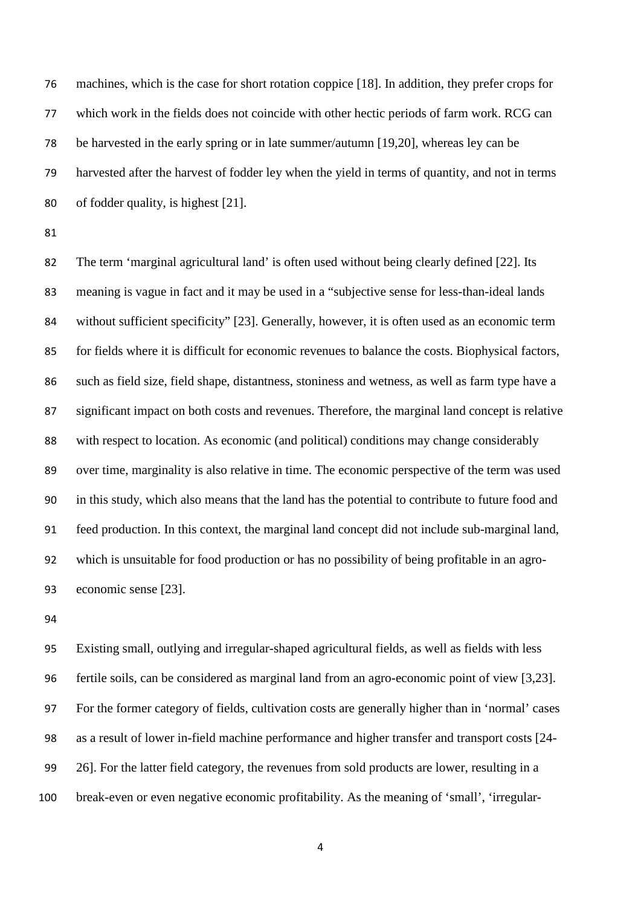machines, which is the case for short rotation coppice [18]. In addition, they prefer crops for which work in the fields does not coincide with other hectic periods of farm work. RCG can be harvested in the early spring or in late summer/autumn [19,20], whereas ley can be harvested after the harvest of fodder ley when the yield in terms of quantity, and not in terms of fodder quality, is highest [21].

 The term 'marginal agricultural land' is often used without being clearly defined [22]. Its meaning is vague in fact and it may be used in a "subjective sense for less-than-ideal lands without sufficient specificity" [23]. Generally, however, it is often used as an economic term for fields where it is difficult for economic revenues to balance the costs. Biophysical factors, such as field size, field shape, distantness, stoniness and wetness, as well as farm type have a significant impact on both costs and revenues. Therefore, the marginal land concept is relative with respect to location. As economic (and political) conditions may change considerably over time, marginality is also relative in time. The economic perspective of the term was used in this study, which also means that the land has the potential to contribute to future food and feed production. In this context, the marginal land concept did not include sub-marginal land, which is unsuitable for food production or has no possibility of being profitable in an agro-economic sense [23].

 Existing small, outlying and irregular-shaped agricultural fields, as well as fields with less fertile soils, can be considered as marginal land from an agro-economic point of view [3,23]. For the former category of fields, cultivation costs are generally higher than in 'normal' cases as a result of lower in-field machine performance and higher transfer and transport costs [24- 26]. For the latter field category, the revenues from sold products are lower, resulting in a break-even or even negative economic profitability. As the meaning of 'small', 'irregular-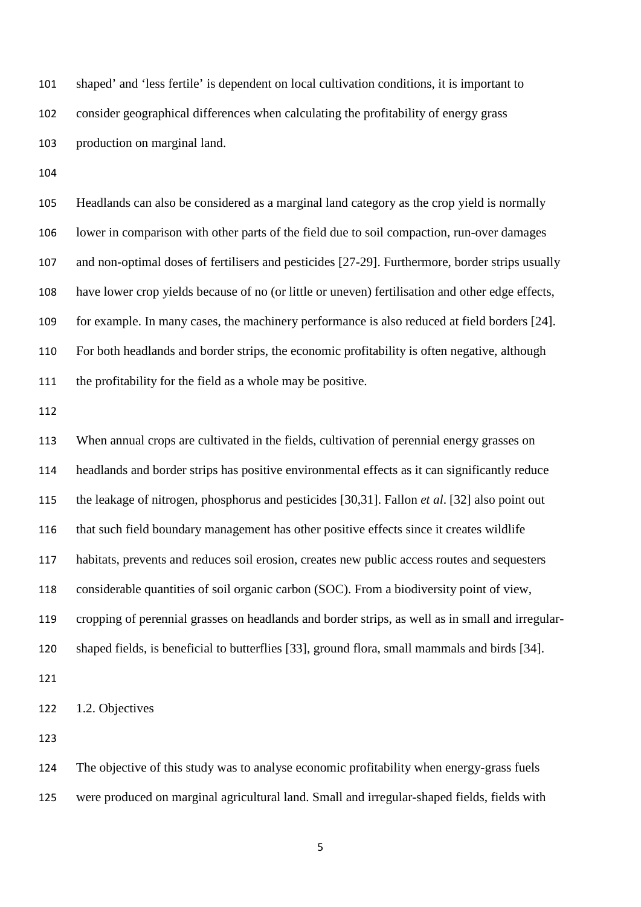shaped' and 'less fertile' is dependent on local cultivation conditions, it is important to consider geographical differences when calculating the profitability of energy grass production on marginal land.

 Headlands can also be considered as a marginal land category as the crop yield is normally lower in comparison with other parts of the field due to soil compaction, run-over damages and non-optimal doses of fertilisers and pesticides [27-29]. Furthermore, border strips usually have lower crop yields because of no (or little or uneven) fertilisation and other edge effects, for example. In many cases, the machinery performance is also reduced at field borders [24]. For both headlands and border strips, the economic profitability is often negative, although the profitability for the field as a whole may be positive.

 When annual crops are cultivated in the fields, cultivation of perennial energy grasses on headlands and border strips has positive environmental effects as it can significantly reduce the leakage of nitrogen, phosphorus and pesticides [30,31]. Fallon *et al*. [32] also point out that such field boundary management has other positive effects since it creates wildlife habitats, prevents and reduces soil erosion, creates new public access routes and sequesters considerable quantities of soil organic carbon (SOC). From a biodiversity point of view, cropping of perennial grasses on headlands and border strips, as well as in small and irregular-shaped fields, is beneficial to butterflies [33], ground flora, small mammals and birds [34].

1.2. Objectives

 The objective of this study was to analyse economic profitability when energy-grass fuels were produced on marginal agricultural land. Small and irregular-shaped fields, fields with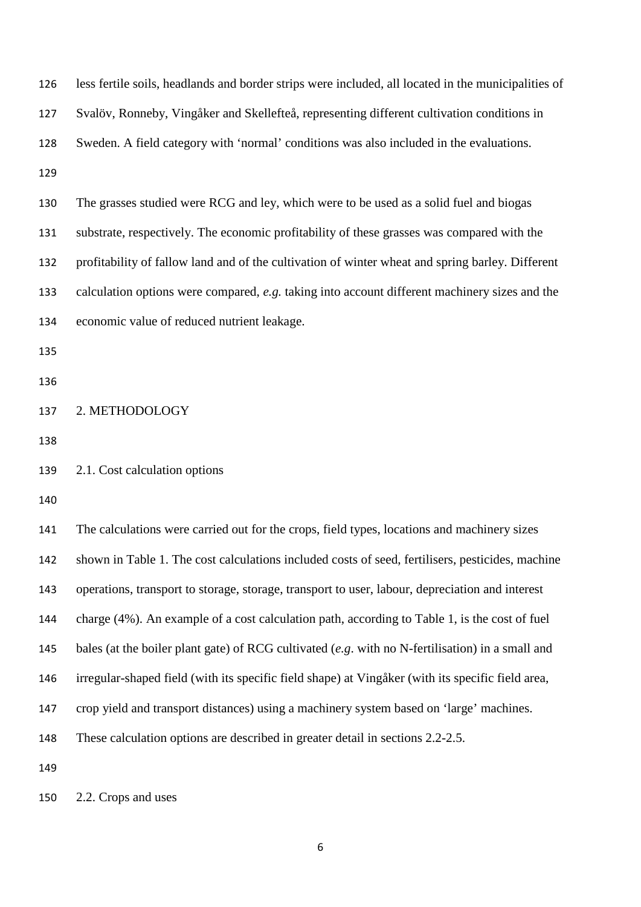| 126 | less fertile soils, headlands and border strips were included, all located in the municipalities of |
|-----|-----------------------------------------------------------------------------------------------------|
| 127 | Svalöv, Ronneby, Vingåker and Skellefteå, representing different cultivation conditions in          |
| 128 | Sweden. A field category with 'normal' conditions was also included in the evaluations.             |
| 129 |                                                                                                     |
| 130 | The grasses studied were RCG and ley, which were to be used as a solid fuel and biogas              |
| 131 | substrate, respectively. The economic profitability of these grasses was compared with the          |
| 132 | profitability of fallow land and of the cultivation of winter wheat and spring barley. Different    |
| 133 | calculation options were compared, e.g. taking into account different machinery sizes and the       |
| 134 | economic value of reduced nutrient leakage.                                                         |
| 135 |                                                                                                     |
| 136 |                                                                                                     |
| 137 | 2. METHODOLOGY                                                                                      |
| 138 |                                                                                                     |
| 139 | 2.1. Cost calculation options                                                                       |
| 140 |                                                                                                     |
| 141 | The calculations were carried out for the crops, field types, locations and machinery sizes         |
| 142 | shown in Table 1. The cost calculations included costs of seed, fertilisers, pesticides, machine    |
| 143 | operations, transport to storage, storage, transport to user, labour, depreciation and interest     |
| 144 | charge (4%). An example of a cost calculation path, according to Table 1, is the cost of fuel       |
| 145 | bales (at the boiler plant gate) of RCG cultivated $(e.g.$ with no N-fertilisation) in a small and  |
| 146 | irregular-shaped field (with its specific field shape) at Vingåker (with its specific field area,   |
| 147 | crop yield and transport distances) using a machinery system based on 'large' machines.             |
| 148 | These calculation options are described in greater detail in sections 2.2-2.5.                      |
| 149 |                                                                                                     |
| 150 | 2.2. Crops and uses                                                                                 |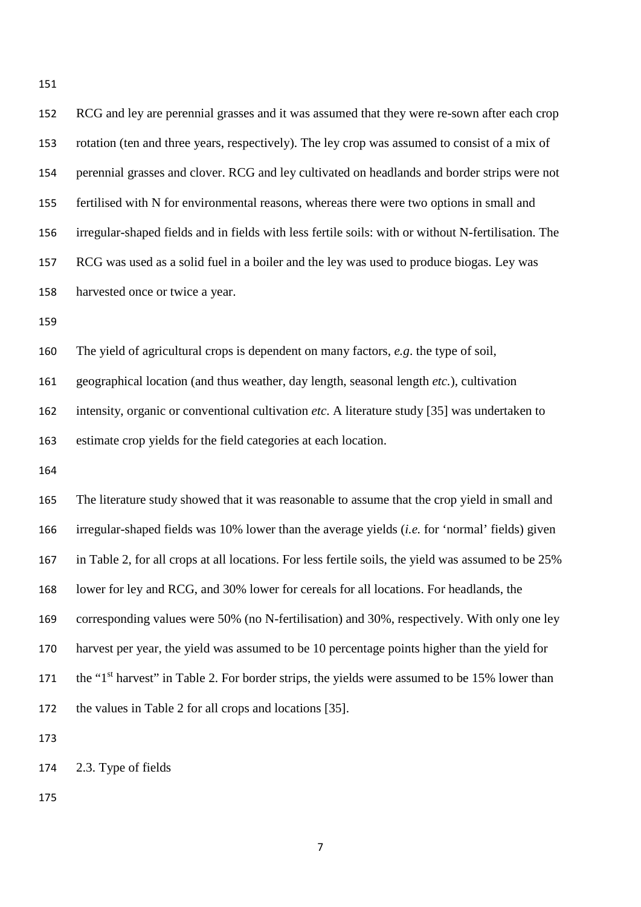| 152 | RCG and ley are perennial grasses and it was assumed that they were re-sown after each crop               |
|-----|-----------------------------------------------------------------------------------------------------------|
| 153 | rotation (ten and three years, respectively). The ley crop was assumed to consist of a mix of             |
| 154 | perennial grasses and clover. RCG and ley cultivated on headlands and border strips were not              |
| 155 | fertilised with N for environmental reasons, whereas there were two options in small and                  |
| 156 | irregular-shaped fields and in fields with less fertile soils: with or without N-fertilisation. The       |
| 157 | RCG was used as a solid fuel in a boiler and the ley was used to produce biogas. Ley was                  |
| 158 | harvested once or twice a year.                                                                           |
| 159 |                                                                                                           |
| 160 | The yield of agricultural crops is dependent on many factors, $e.g.$ the type of soil,                    |
| 161 | geographical location (and thus weather, day length, seasonal length etc.), cultivation                   |
| 162 | intensity, organic or conventional cultivation etc. A literature study [35] was undertaken to             |
| 163 | estimate crop yields for the field categories at each location.                                           |
| 164 |                                                                                                           |
| 165 | The literature study showed that it was reasonable to assume that the crop yield in small and             |
| 166 | irregular-shaped fields was 10% lower than the average yields <i>(i.e.</i> for 'normal' fields) given     |
| 167 | in Table 2, for all crops at all locations. For less fertile soils, the yield was assumed to be 25%       |
| 168 | lower for ley and RCG, and 30% lower for cereals for all locations. For headlands, the                    |
| 169 | corresponding values were 50% (no N-fertilisation) and 30%, respectively. With only one ley               |
| 170 | harvest per year, the yield was assumed to be 10 percentage points higher than the yield for              |
| 171 | the "1 <sup>st</sup> harvest" in Table 2. For border strips, the yields were assumed to be 15% lower than |
| 172 | the values in Table 2 for all crops and locations [35].                                                   |
| 173 |                                                                                                           |

2.3. Type of fields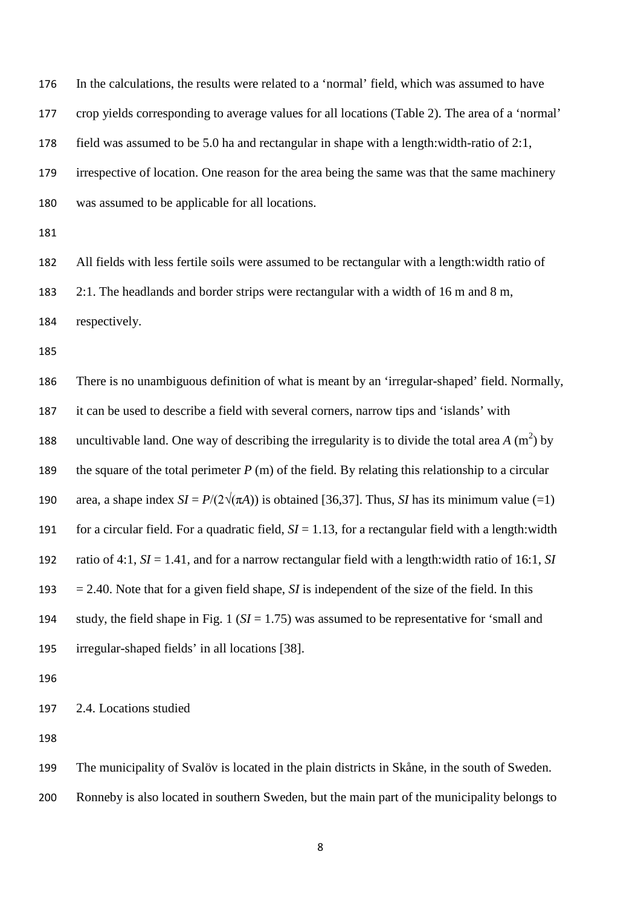In the calculations, the results were related to a 'normal' field, which was assumed to have crop yields corresponding to average values for all locations (Table 2). The area of a 'normal' field was assumed to be 5.0 ha and rectangular in shape with a length:width-ratio of 2:1, irrespective of location. One reason for the area being the same was that the same machinery was assumed to be applicable for all locations.

All fields with less fertile soils were assumed to be rectangular with a length:width ratio of

2:1. The headlands and border strips were rectangular with a width of 16 m and 8 m,

respectively.

 There is no unambiguous definition of what is meant by an 'irregular-shaped' field. Normally, it can be used to describe a field with several corners, narrow tips and 'islands' with 188 uncultivable land. One way of describing the irregularity is to divide the total area  $A$  (m<sup>2</sup>) by the square of the total perimeter *P* (m) of the field. By relating this relationship to a circular 190 area, a shape index  $SI = P/(2\sqrt{\pi A})$  is obtained [36,37]. Thus, *SI* has its minimum value (=1) for a circular field. For a quadratic field, *SI* = 1.13, for a rectangular field with a length:width ratio of 4:1, *SI* = 1.41, and for a narrow rectangular field with a length:width ratio of 16:1, *SI*   $= 2.40$ . Note that for a given field shape, *SI* is independent of the size of the field. In this study, the field shape in Fig. 1 (*SI* = 1.75) was assumed to be representative for 'small and irregular-shaped fields' in all locations [38].

2.4. Locations studied

 The municipality of Svalöv is located in the plain districts in Skåne, in the south of Sweden. Ronneby is also located in southern Sweden, but the main part of the municipality belongs to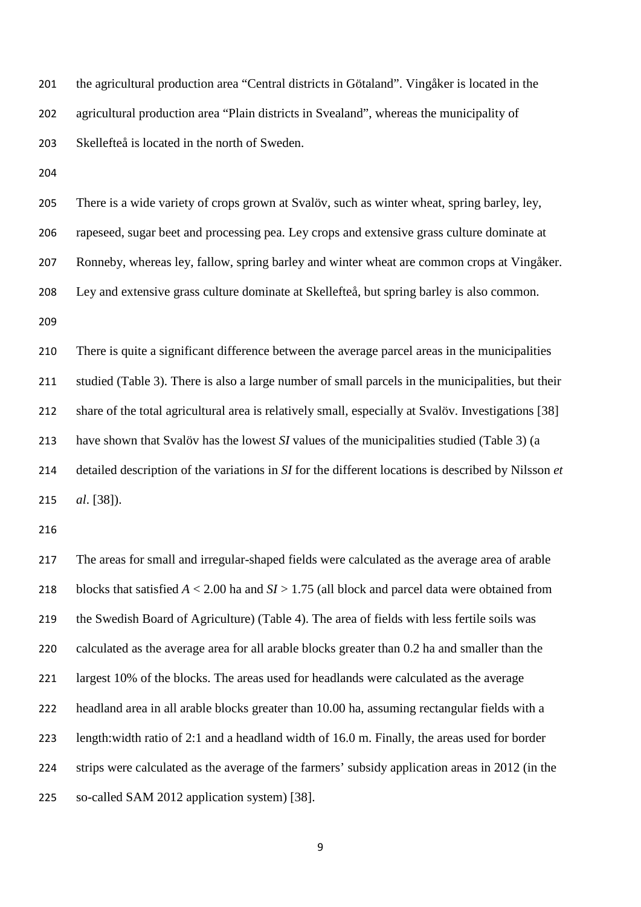the agricultural production area "Central districts in Götaland". Vingåker is located in the agricultural production area "Plain districts in Svealand", whereas the municipality of Skellefteå is located in the north of Sweden.

 There is a wide variety of crops grown at Svalöv, such as winter wheat, spring barley, ley, rapeseed, sugar beet and processing pea. Ley crops and extensive grass culture dominate at Ronneby, whereas ley, fallow, spring barley and winter wheat are common crops at Vingåker. Ley and extensive grass culture dominate at Skellefteå, but spring barley is also common. 

 There is quite a significant difference between the average parcel areas in the municipalities studied (Table 3). There is also a large number of small parcels in the municipalities, but their share of the total agricultural area is relatively small, especially at Svalöv. Investigations [38] have shown that Svalöv has the lowest *SI* values of the municipalities studied (Table 3) (a detailed description of the variations in *SI* for the different locations is described by Nilsson *et al*. [38]).

 The areas for small and irregular-shaped fields were calculated as the average area of arable blocks that satisfied *A* < 2.00 ha and *SI* > 1.75 (all block and parcel data were obtained from the Swedish Board of Agriculture) (Table 4). The area of fields with less fertile soils was calculated as the average area for all arable blocks greater than 0.2 ha and smaller than the largest 10% of the blocks. The areas used for headlands were calculated as the average headland area in all arable blocks greater than 10.00 ha, assuming rectangular fields with a length:width ratio of 2:1 and a headland width of 16.0 m. Finally, the areas used for border strips were calculated as the average of the farmers' subsidy application areas in 2012 (in the so-called SAM 2012 application system) [38].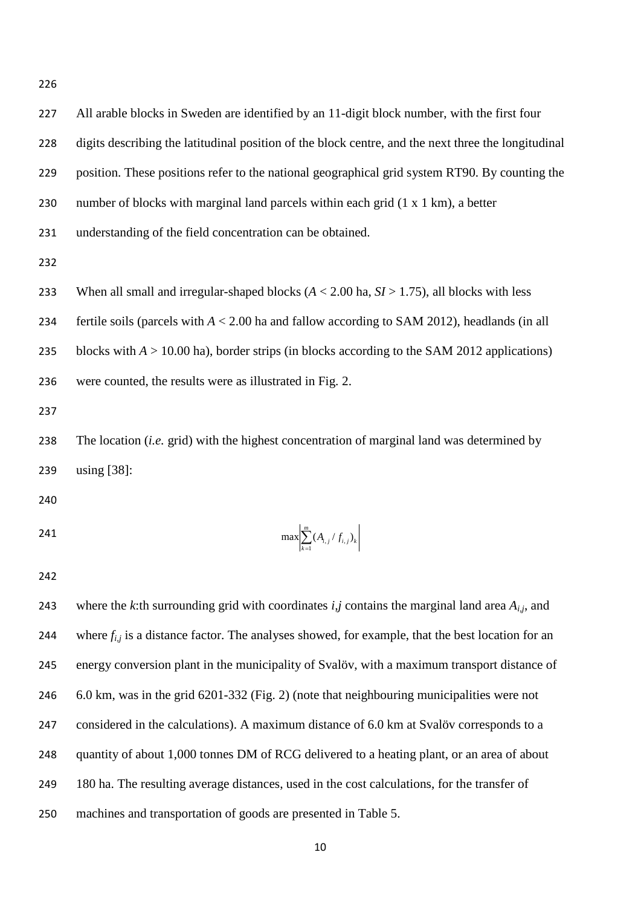All arable blocks in Sweden are identified by an 11-digit block number, with the first four digits describing the latitudinal position of the block centre, and the next three the longitudinal position. These positions refer to the national geographical grid system RT90. By counting the number of blocks with marginal land parcels within each grid (1 x 1 km), a better understanding of the field concentration can be obtained.

233 When all small and irregular-shaped blocks  $(A < 2.00$  ha,  $SI > 1.75)$ , all blocks with less

fertile soils (parcels with *A* < 2.00 ha and fallow according to SAM 2012), headlands (in all

235 blocks with  $A > 10.00$  ha), border strips (in blocks according to the SAM 2012 applications)

were counted, the results were as illustrated in Fig. 2.

 The location (*i.e.* grid) with the highest concentration of marginal land was determined by using [38]:

$$
\max \left| \sum_{k=1}^{m} (A_{i,j} / f_{i,j})_k \right|
$$

243 where the *k*:th surrounding grid with coordinates  $i, j$  contains the marginal land area  $A_{i,j}$ , and 244 where  $f_{i,j}$  is a distance factor. The analyses showed, for example, that the best location for an energy conversion plant in the municipality of Svalöv, with a maximum transport distance of 6.0 km, was in the grid 6201-332 (Fig. 2) (note that neighbouring municipalities were not considered in the calculations). A maximum distance of 6.0 km at Svalöv corresponds to a quantity of about 1,000 tonnes DM of RCG delivered to a heating plant, or an area of about 180 ha. The resulting average distances, used in the cost calculations, for the transfer of machines and transportation of goods are presented in Table 5.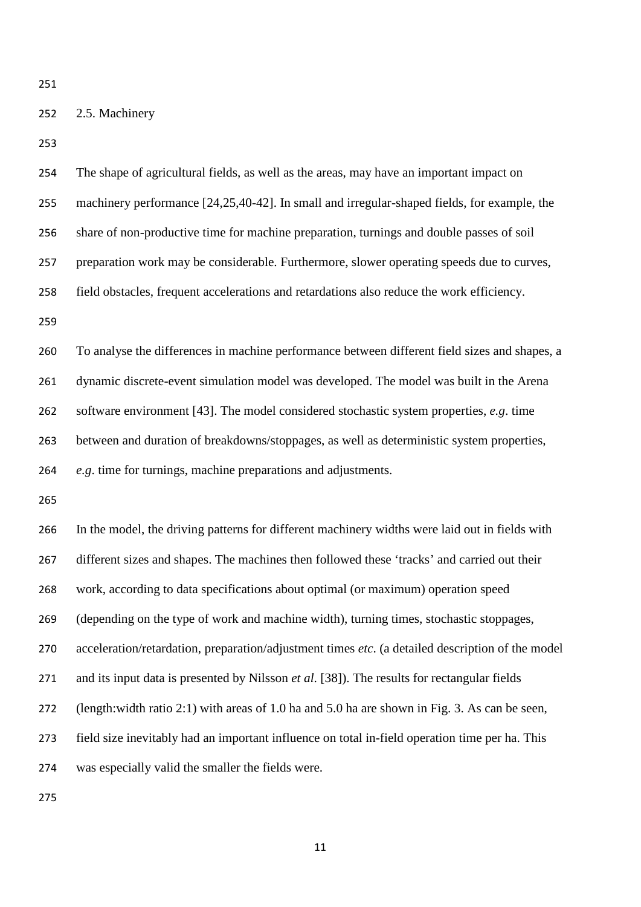# 2.5. Machinery

| 254 | The shape of agricultural fields, as well as the areas, may have an important impact on          |
|-----|--------------------------------------------------------------------------------------------------|
| 255 | machinery performance [24,25,40-42]. In small and irregular-shaped fields, for example, the      |
| 256 | share of non-productive time for machine preparation, turnings and double passes of soil         |
| 257 | preparation work may be considerable. Furthermore, slower operating speeds due to curves,        |
| 258 | field obstacles, frequent accelerations and retardations also reduce the work efficiency.        |
| 259 |                                                                                                  |
| 260 | To analyse the differences in machine performance between different field sizes and shapes, a    |
| 261 | dynamic discrete-event simulation model was developed. The model was built in the Arena          |
| 262 | software environment [43]. The model considered stochastic system properties, $e.g.$ time        |
| 263 | between and duration of breakdowns/stoppages, as well as deterministic system properties,        |
| 264 | e.g. time for turnings, machine preparations and adjustments.                                    |
| 265 |                                                                                                  |
|     |                                                                                                  |
| 266 | In the model, the driving patterns for different machinery widths were laid out in fields with   |
| 267 | different sizes and shapes. The machines then followed these 'tracks' and carried out their      |
| 268 | work, according to data specifications about optimal (or maximum) operation speed                |
| 269 | (depending on the type of work and machine width), turning times, stochastic stoppages,          |
| 270 | acceleration/retardation, preparation/adjustment times etc. (a detailed description of the model |
| 271 | and its input data is presented by Nilsson et al. [38]). The results for rectangular fields      |
| 272 | (length: width ratio 2:1) with areas of 1.0 ha and 5.0 ha are shown in Fig. 3. As can be seen,   |
| 273 | field size inevitably had an important influence on total in-field operation time per ha. This   |
| 274 | was especially valid the smaller the fields were.                                                |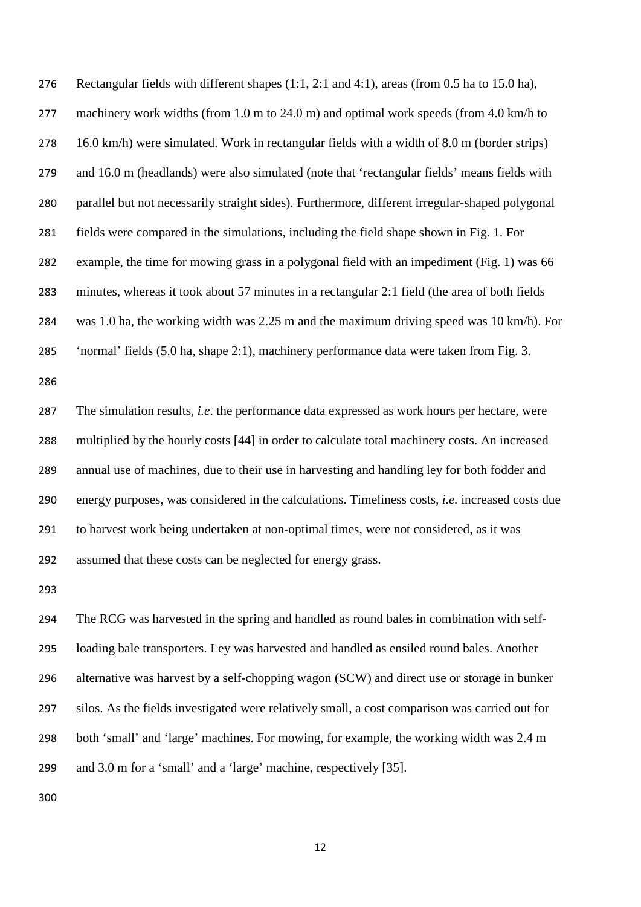Rectangular fields with different shapes (1:1, 2:1 and 4:1), areas (from 0.5 ha to 15.0 ha), 277 machinery work widths (from 1.0 m to 24.0 m) and optimal work speeds (from 4.0 km/h to 16.0 km/h) were simulated. Work in rectangular fields with a width of 8.0 m (border strips) and 16.0 m (headlands) were also simulated (note that 'rectangular fields' means fields with parallel but not necessarily straight sides). Furthermore, different irregular-shaped polygonal fields were compared in the simulations, including the field shape shown in Fig. 1. For example, the time for mowing grass in a polygonal field with an impediment (Fig. 1) was 66 minutes, whereas it took about 57 minutes in a rectangular 2:1 field (the area of both fields was 1.0 ha, the working width was 2.25 m and the maximum driving speed was 10 km/h). For 'normal' fields (5.0 ha, shape 2:1), machinery performance data were taken from Fig. 3.

 The simulation results, *i.e*. the performance data expressed as work hours per hectare, were multiplied by the hourly costs [44] in order to calculate total machinery costs. An increased annual use of machines, due to their use in harvesting and handling ley for both fodder and energy purposes, was considered in the calculations. Timeliness costs, *i.e.* increased costs due to harvest work being undertaken at non-optimal times, were not considered, as it was assumed that these costs can be neglected for energy grass.

 The RCG was harvested in the spring and handled as round bales in combination with self- loading bale transporters. Ley was harvested and handled as ensiled round bales. Another alternative was harvest by a self-chopping wagon (SCW) and direct use or storage in bunker silos. As the fields investigated were relatively small, a cost comparison was carried out for both 'small' and 'large' machines. For mowing, for example, the working width was 2.4 m and 3.0 m for a 'small' and a 'large' machine, respectively [35].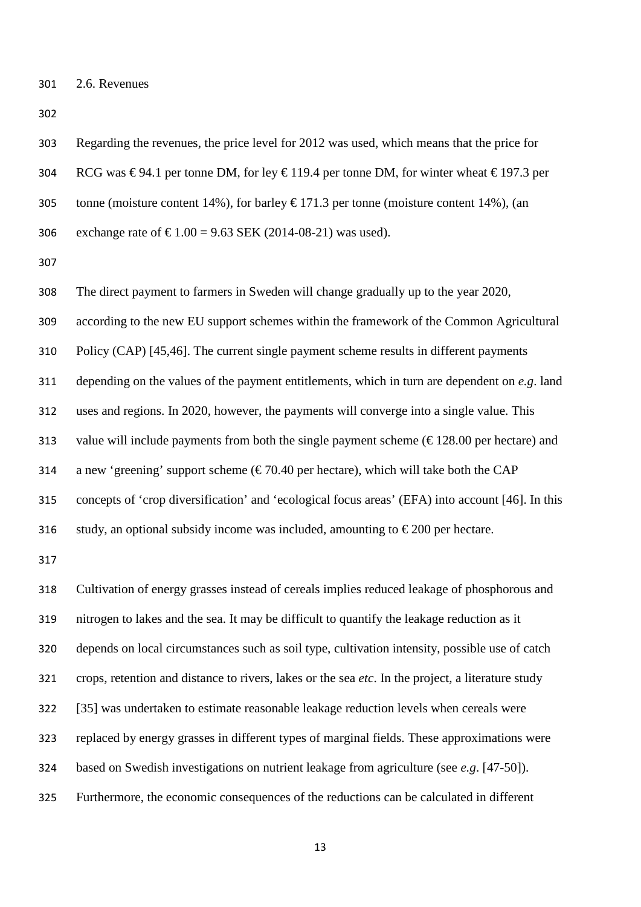Regarding the revenues, the price level for 2012 was used, which means that the price for 304 RCG was  $\epsilon$ 94.1 per tonne DM, for ley  $\epsilon$ 119.4 per tonne DM, for winter wheat  $\epsilon$ 197.3 per 305 tonne (moisture content 14%), for barley  $\epsilon$  171.3 per tonne (moisture content 14%), (an 306 exchange rate of  $\text{£}1.00 = 9.63$  SEK (2014-08-21) was used).

 The direct payment to farmers in Sweden will change gradually up to the year 2020, according to the new EU support schemes within the framework of the Common Agricultural Policy (CAP) [45,46]. The current single payment scheme results in different payments depending on the values of the payment entitlements, which in turn are dependent on *e.g*. land uses and regions. In 2020, however, the payments will converge into a single value. This 313 value will include payments from both the single payment scheme  $(\text{\textsterling}128.00 \text{ per hectare})$  and 314 a new 'greening' support scheme ( $\epsilon$ 70.40 per hectare), which will take both the CAP concepts of 'crop diversification' and 'ecological focus areas' (EFA) into account [46]. In this 316 study, an optional subsidy income was included, amounting to  $\epsilon$ 200 per hectare.

 Cultivation of energy grasses instead of cereals implies reduced leakage of phosphorous and nitrogen to lakes and the sea. It may be difficult to quantify the leakage reduction as it depends on local circumstances such as soil type, cultivation intensity, possible use of catch crops, retention and distance to rivers, lakes or the sea *etc*. In the project, a literature study [35] was undertaken to estimate reasonable leakage reduction levels when cereals were replaced by energy grasses in different types of marginal fields. These approximations were based on Swedish investigations on nutrient leakage from agriculture (see *e.g*. [47-50]). Furthermore, the economic consequences of the reductions can be calculated in different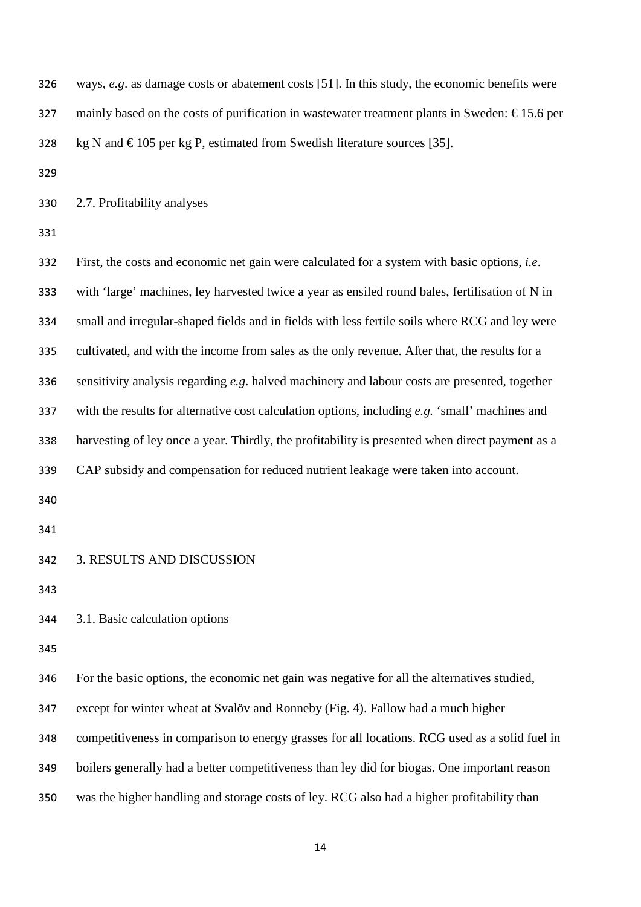ways, *e.g*. as damage costs or abatement costs [51]. In this study, the economic benefits were 327 mainly based on the costs of purification in wastewater treatment plants in Sweden:  $\epsilon$ 15.6 per 328 kg N and  $\epsilon$  105 per kg P, estimated from Swedish literature sources [35]. 2.7. Profitability analyses First, the costs and economic net gain were calculated for a system with basic options, *i.e*. with 'large' machines, ley harvested twice a year as ensiled round bales, fertilisation of N in small and irregular-shaped fields and in fields with less fertile soils where RCG and ley were cultivated, and with the income from sales as the only revenue. After that, the results for a sensitivity analysis regarding *e.g*. halved machinery and labour costs are presented, together with the results for alternative cost calculation options, including *e.g.* 'small' machines and harvesting of ley once a year. Thirdly, the profitability is presented when direct payment as a CAP subsidy and compensation for reduced nutrient leakage were taken into account. 3. RESULTS AND DISCUSSION 3.1. Basic calculation options For the basic options, the economic net gain was negative for all the alternatives studied, except for winter wheat at Svalöv and Ronneby (Fig. 4). Fallow had a much higher competitiveness in comparison to energy grasses for all locations. RCG used as a solid fuel in boilers generally had a better competitiveness than ley did for biogas. One important reason was the higher handling and storage costs of ley. RCG also had a higher profitability than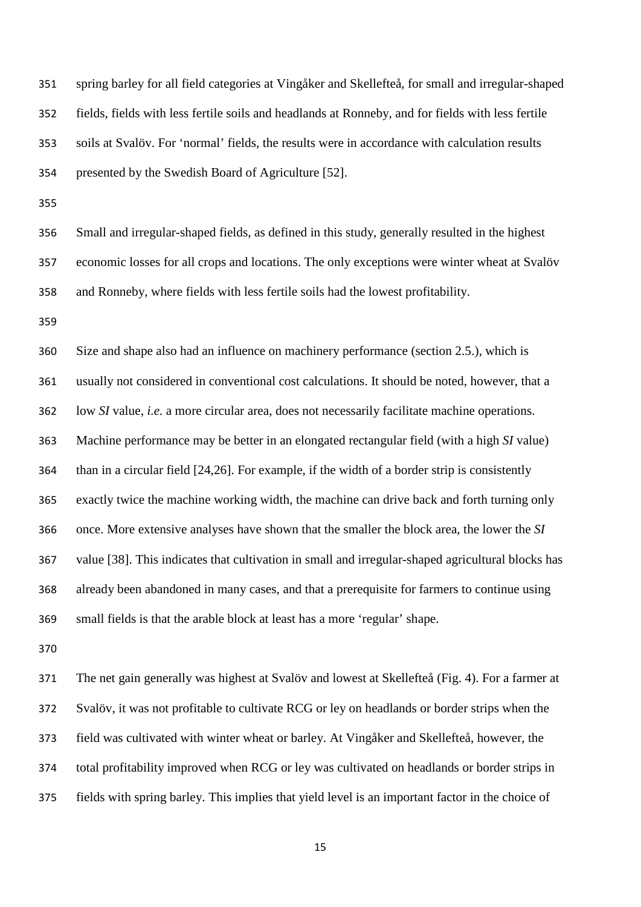spring barley for all field categories at Vingåker and Skellefteå, for small and irregular-shaped fields, fields with less fertile soils and headlands at Ronneby, and for fields with less fertile soils at Svalöv. For 'normal' fields, the results were in accordance with calculation results presented by the Swedish Board of Agriculture [52].

 Small and irregular-shaped fields, as defined in this study, generally resulted in the highest economic losses for all crops and locations. The only exceptions were winter wheat at Svalöv and Ronneby, where fields with less fertile soils had the lowest profitability.

 Size and shape also had an influence on machinery performance (section 2.5.), which is usually not considered in conventional cost calculations. It should be noted, however, that a low *SI* value, *i.e.* a more circular area, does not necessarily facilitate machine operations. Machine performance may be better in an elongated rectangular field (with a high *SI* value) than in a circular field [24,26]. For example, if the width of a border strip is consistently exactly twice the machine working width, the machine can drive back and forth turning only once. More extensive analyses have shown that the smaller the block area, the lower the *SI* value [38]. This indicates that cultivation in small and irregular-shaped agricultural blocks has already been abandoned in many cases, and that a prerequisite for farmers to continue using small fields is that the arable block at least has a more 'regular' shape.

 The net gain generally was highest at Svalöv and lowest at Skellefteå (Fig. 4). For a farmer at Svalöv, it was not profitable to cultivate RCG or ley on headlands or border strips when the field was cultivated with winter wheat or barley. At Vingåker and Skellefteå, however, the total profitability improved when RCG or ley was cultivated on headlands or border strips in fields with spring barley. This implies that yield level is an important factor in the choice of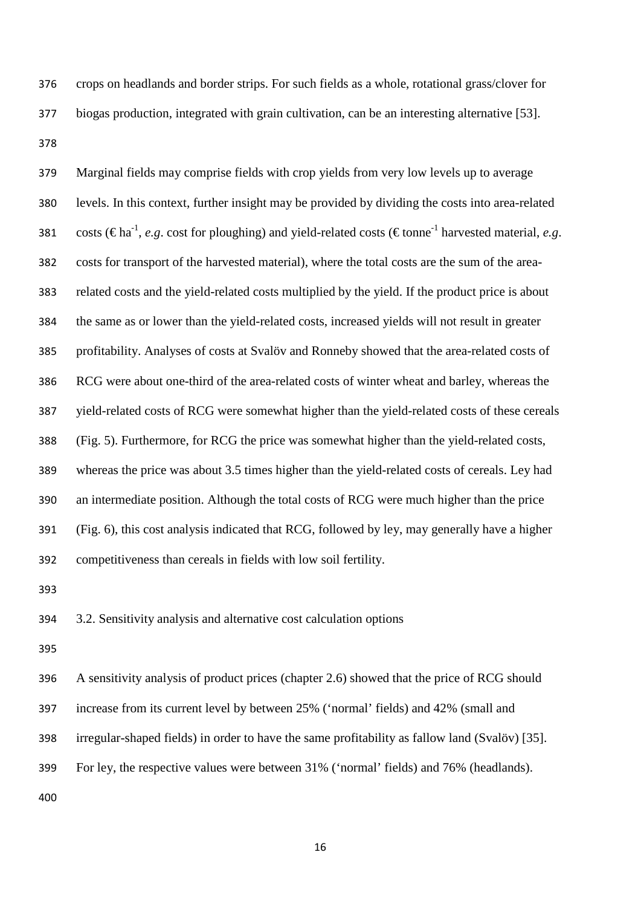crops on headlands and border strips. For such fields as a whole, rotational grass/clover for biogas production, integrated with grain cultivation, can be an interesting alternative [53]. 

 Marginal fields may comprise fields with crop yields from very low levels up to average levels. In this context, further insight may be provided by dividing the costs into area-related 381 costs (€ha<sup>-1</sup>, *e.g.* cost for ploughing) and yield-related costs (€tonne<sup>-1</sup> harvested material, *e.g.*  costs for transport of the harvested material), where the total costs are the sum of the area- related costs and the yield-related costs multiplied by the yield. If the product price is about the same as or lower than the yield-related costs, increased yields will not result in greater profitability. Analyses of costs at Svalöv and Ronneby showed that the area-related costs of RCG were about one-third of the area-related costs of winter wheat and barley, whereas the yield-related costs of RCG were somewhat higher than the yield-related costs of these cereals (Fig. 5). Furthermore, for RCG the price was somewhat higher than the yield-related costs, whereas the price was about 3.5 times higher than the yield-related costs of cereals. Ley had an intermediate position. Although the total costs of RCG were much higher than the price (Fig. 6), this cost analysis indicated that RCG, followed by ley, may generally have a higher competitiveness than cereals in fields with low soil fertility.

3.2. Sensitivity analysis and alternative cost calculation options

 A sensitivity analysis of product prices (chapter 2.6) showed that the price of RCG should increase from its current level by between 25% ('normal' fields) and 42% (small and irregular-shaped fields) in order to have the same profitability as fallow land (Svalöv) [35]. For ley, the respective values were between 31% ('normal' fields) and 76% (headlands).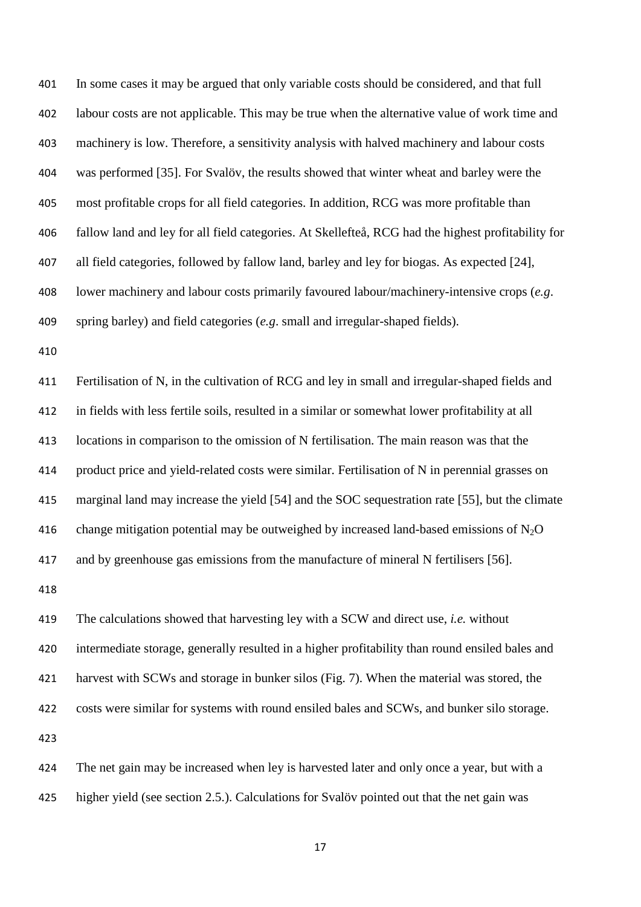In some cases it may be argued that only variable costs should be considered, and that full labour costs are not applicable. This may be true when the alternative value of work time and machinery is low. Therefore, a sensitivity analysis with halved machinery and labour costs was performed [35]. For Svalöv, the results showed that winter wheat and barley were the most profitable crops for all field categories. In addition, RCG was more profitable than fallow land and ley for all field categories. At Skellefteå, RCG had the highest profitability for all field categories, followed by fallow land, barley and ley for biogas. As expected [24], lower machinery and labour costs primarily favoured labour/machinery-intensive crops (*e.g*. spring barley) and field categories (*e.g*. small and irregular-shaped fields).

 Fertilisation of N, in the cultivation of RCG and ley in small and irregular-shaped fields and in fields with less fertile soils, resulted in a similar or somewhat lower profitability at all locations in comparison to the omission of N fertilisation. The main reason was that the product price and yield-related costs were similar. Fertilisation of N in perennial grasses on marginal land may increase the yield [54] and the SOC sequestration rate [55], but the climate 416 change mitigation potential may be outweighed by increased land-based emissions of  $N_2O$ and by greenhouse gas emissions from the manufacture of mineral N fertilisers [56].

 The calculations showed that harvesting ley with a SCW and direct use, *i.e.* without intermediate storage, generally resulted in a higher profitability than round ensiled bales and harvest with SCWs and storage in bunker silos (Fig. 7). When the material was stored, the costs were similar for systems with round ensiled bales and SCWs, and bunker silo storage. 

 The net gain may be increased when ley is harvested later and only once a year, but with a higher yield (see section 2.5.). Calculations for Svalöv pointed out that the net gain was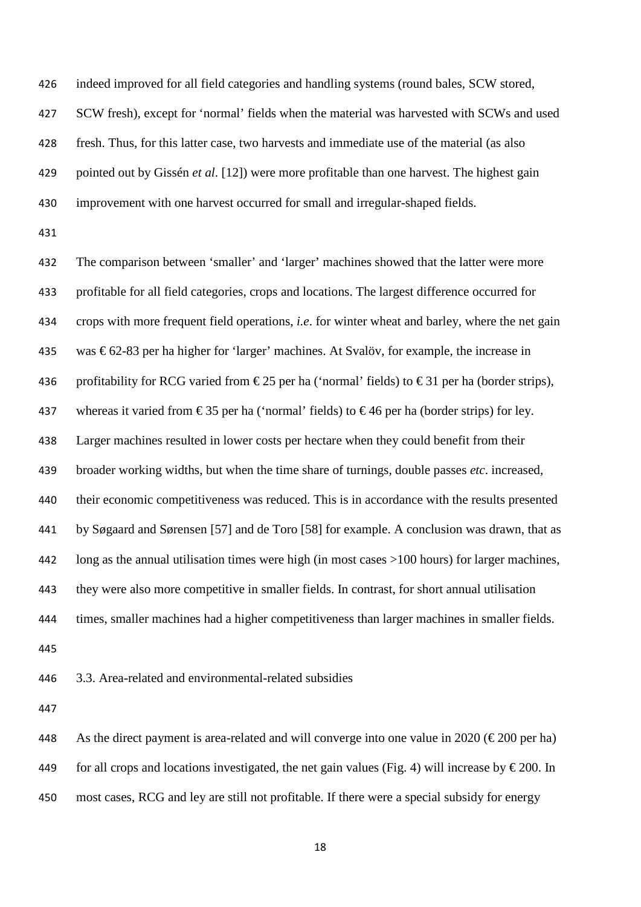indeed improved for all field categories and handling systems (round bales, SCW stored, SCW fresh), except for 'normal' fields when the material was harvested with SCWs and used fresh. Thus, for this latter case, two harvests and immediate use of the material (as also pointed out by Gissén *et al*. [12]) were more profitable than one harvest. The highest gain improvement with one harvest occurred for small and irregular-shaped fields.

 The comparison between 'smaller' and 'larger' machines showed that the latter were more profitable for all field categories, crops and locations. The largest difference occurred for crops with more frequent field operations, *i.e*. for winter wheat and barley, where the net gain 435 was  $\epsilon$ 62-83 per ha higher for 'larger' machines. At Svalöv, for example, the increase in 436 profitability for RCG varied from  $\epsilon$ 25 per ha ('normal' fields) to  $\epsilon$ 31 per ha (border strips), 437 whereas it varied from  $\epsilon$ 35 per ha ('normal' fields) to  $\epsilon$ 46 per ha (border strips) for ley. Larger machines resulted in lower costs per hectare when they could benefit from their broader working widths, but when the time share of turnings, double passes *etc*. increased, their economic competitiveness was reduced. This is in accordance with the results presented by Søgaard and Sørensen [57] and de Toro [58] for example. A conclusion was drawn, that as long as the annual utilisation times were high (in most cases >100 hours) for larger machines, they were also more competitive in smaller fields. In contrast, for short annual utilisation times, smaller machines had a higher competitiveness than larger machines in smaller fields. 

3.3. Area-related and environmental-related subsidies

448 As the direct payment is area-related and will converge into one value in 2020 ( $\epsilon$ 200 per ha) 449 for all crops and locations investigated, the net gain values (Fig. 4) will increase by  $\epsilon$  200. In most cases, RCG and ley are still not profitable. If there were a special subsidy for energy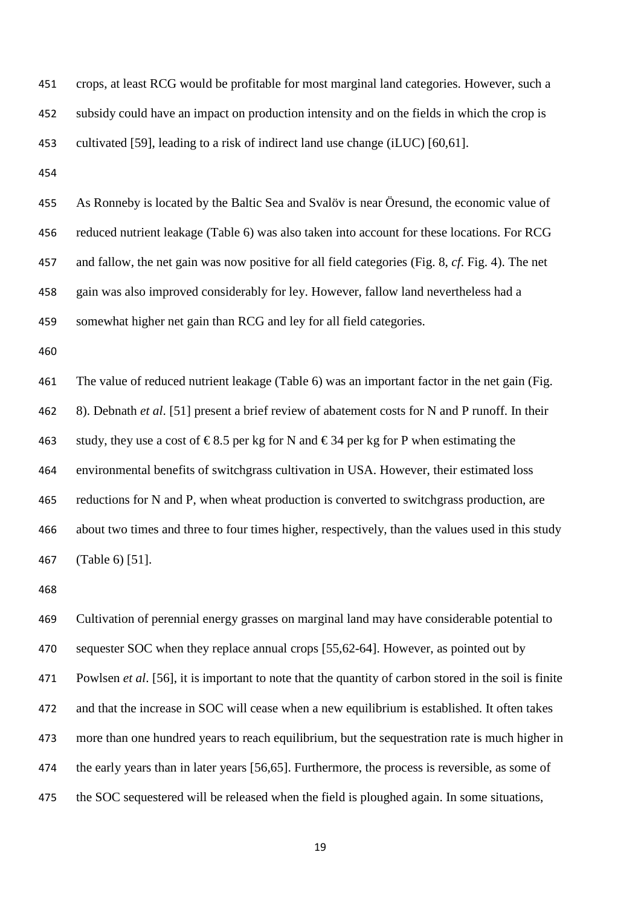crops, at least RCG would be profitable for most marginal land categories. However, such a subsidy could have an impact on production intensity and on the fields in which the crop is cultivated [59], leading to a risk of indirect land use change (iLUC) [60,61].

 As Ronneby is located by the Baltic Sea and Svalöv is near Öresund, the economic value of reduced nutrient leakage (Table 6) was also taken into account for these locations. For RCG and fallow, the net gain was now positive for all field categories (Fig. 8, *cf*. Fig. 4). The net gain was also improved considerably for ley. However, fallow land nevertheless had a somewhat higher net gain than RCG and ley for all field categories.

 The value of reduced nutrient leakage (Table 6) was an important factor in the net gain (Fig. 8). Debnath *et al*. [51] present a brief review of abatement costs for N and P runoff. In their 463 study, they use a cost of  $\epsilon$ 8.5 per kg for N and  $\epsilon$ 34 per kg for P when estimating the environmental benefits of switchgrass cultivation in USA. However, their estimated loss 465 reductions for N and P, when wheat production is converted to switchgrass production, are about two times and three to four times higher, respectively, than the values used in this study (Table 6) [51].

 Cultivation of perennial energy grasses on marginal land may have considerable potential to 470 sequester SOC when they replace annual crops [55,62-64]. However, as pointed out by Powlsen *et al*. [56], it is important to note that the quantity of carbon stored in the soil is finite and that the increase in SOC will cease when a new equilibrium is established. It often takes more than one hundred years to reach equilibrium, but the sequestration rate is much higher in the early years than in later years [56,65]. Furthermore, the process is reversible, as some of the SOC sequestered will be released when the field is ploughed again. In some situations,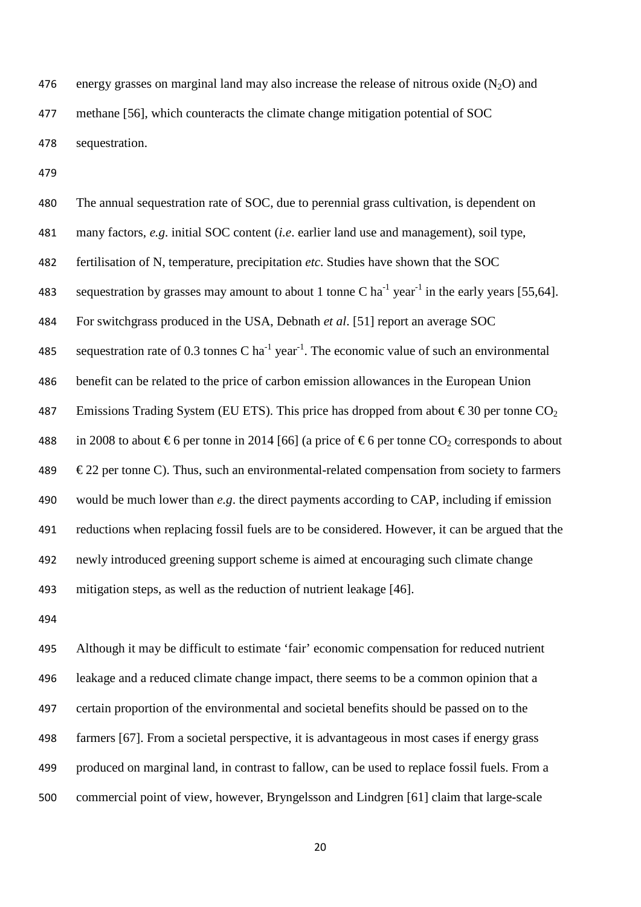476 energy grasses on marginal land may also increase the release of nitrous oxide  $(N_2O)$  and methane [56], which counteracts the climate change mitigation potential of SOC sequestration.

 The annual sequestration rate of SOC, due to perennial grass cultivation, is dependent on many factors, *e.g*. initial SOC content (*i.e*. earlier land use and management), soil type, fertilisation of N, temperature, precipitation *etc*. Studies have shown that the SOC 483 sequestration by grasses may amount to about 1 tonne C  $ha^{-1}$  year<sup>-1</sup> in the early years [55,64]. For switchgrass produced in the USA, Debnath *et al*. [51] report an average SOC 485 sequestration rate of 0.3 tonnes C ha<sup>-1</sup> year<sup>-1</sup>. The economic value of such an environmental benefit can be related to the price of carbon emission allowances in the European Union 487 Emissions Trading System (EU ETS). This price has dropped from about  $\epsilon$ 30 per tonne CO<sub>2</sub> 488 in 2008 to about  $\epsilon$ 6 per tonne in 2014 [66] (a price of  $\epsilon$ 6 per tonne CO<sub>2</sub> corresponds to about  $\epsilon$  22 per tonne C). Thus, such an environmental-related compensation from society to farmers would be much lower than *e.g*. the direct payments according to CAP, including if emission reductions when replacing fossil fuels are to be considered. However, it can be argued that the newly introduced greening support scheme is aimed at encouraging such climate change mitigation steps, as well as the reduction of nutrient leakage [46].

 Although it may be difficult to estimate 'fair' economic compensation for reduced nutrient leakage and a reduced climate change impact, there seems to be a common opinion that a certain proportion of the environmental and societal benefits should be passed on to the farmers [67]. From a societal perspective, it is advantageous in most cases if energy grass produced on marginal land, in contrast to fallow, can be used to replace fossil fuels. From a commercial point of view, however, Bryngelsson and Lindgren [61] claim that large-scale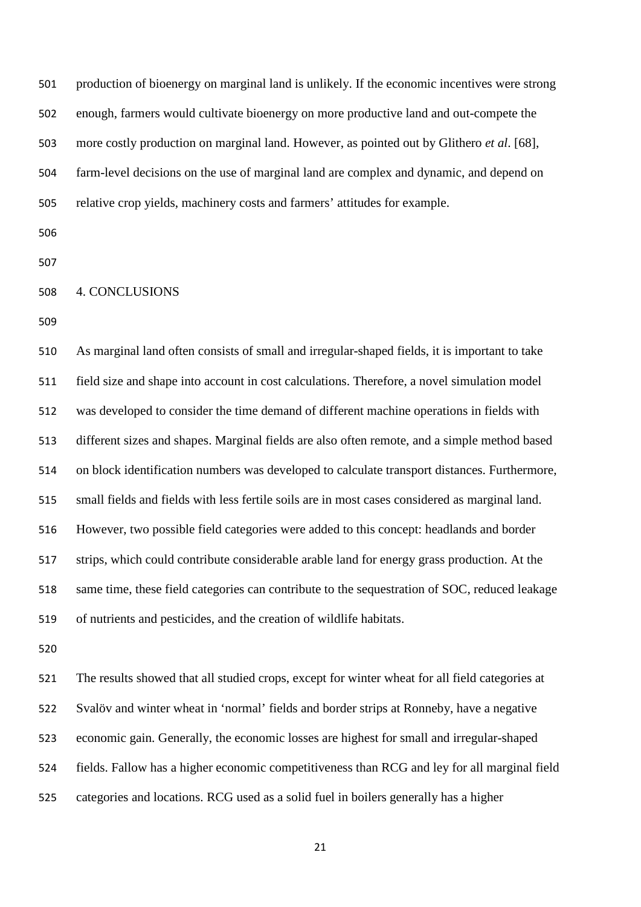production of bioenergy on marginal land is unlikely. If the economic incentives were strong enough, farmers would cultivate bioenergy on more productive land and out-compete the more costly production on marginal land. However, as pointed out by Glithero *et al*. [68], farm-level decisions on the use of marginal land are complex and dynamic, and depend on relative crop yields, machinery costs and farmers' attitudes for example.

- 
- 
- 4. CONCLUSIONS
- 

 As marginal land often consists of small and irregular-shaped fields, it is important to take field size and shape into account in cost calculations. Therefore, a novel simulation model was developed to consider the time demand of different machine operations in fields with different sizes and shapes. Marginal fields are also often remote, and a simple method based on block identification numbers was developed to calculate transport distances. Furthermore, small fields and fields with less fertile soils are in most cases considered as marginal land. However, two possible field categories were added to this concept: headlands and border strips, which could contribute considerable arable land for energy grass production. At the same time, these field categories can contribute to the sequestration of SOC, reduced leakage of nutrients and pesticides, and the creation of wildlife habitats.

 The results showed that all studied crops, except for winter wheat for all field categories at Svalöv and winter wheat in 'normal' fields and border strips at Ronneby, have a negative economic gain. Generally, the economic losses are highest for small and irregular-shaped fields. Fallow has a higher economic competitiveness than RCG and ley for all marginal field categories and locations. RCG used as a solid fuel in boilers generally has a higher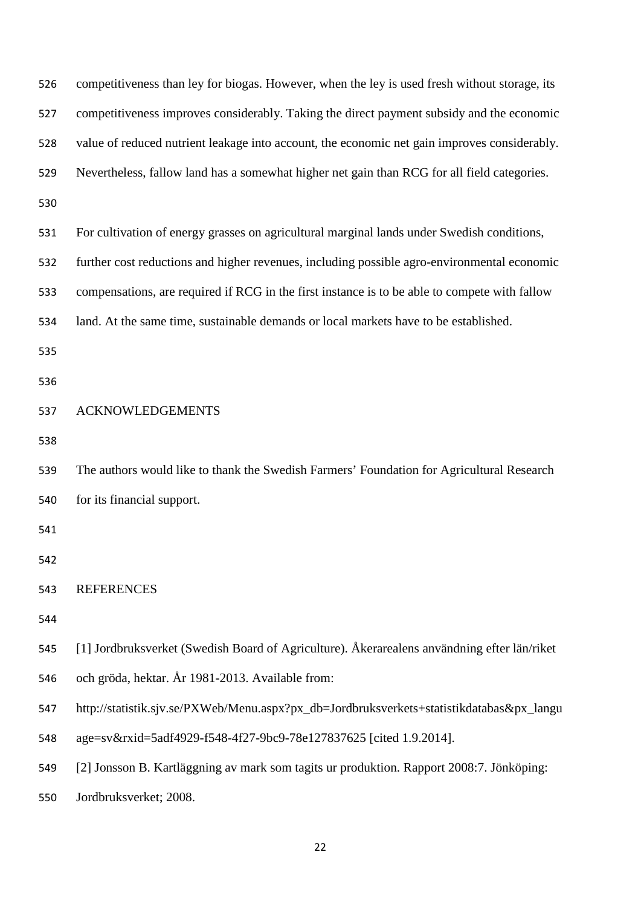| 526 | competitiveness than ley for biogas. However, when the ley is used fresh without storage, its |
|-----|-----------------------------------------------------------------------------------------------|
| 527 | competitiveness improves considerably. Taking the direct payment subsidy and the economic     |
| 528 | value of reduced nutrient leakage into account, the economic net gain improves considerably.  |
| 529 | Nevertheless, fallow land has a somewhat higher net gain than RCG for all field categories.   |
| 530 |                                                                                               |
| 531 | For cultivation of energy grasses on agricultural marginal lands under Swedish conditions,    |
| 532 | further cost reductions and higher revenues, including possible agro-environmental economic   |
| 533 | compensations, are required if RCG in the first instance is to be able to compete with fallow |
| 534 | land. At the same time, sustainable demands or local markets have to be established.          |
| 535 |                                                                                               |
| 536 |                                                                                               |
| 537 | <b>ACKNOWLEDGEMENTS</b>                                                                       |
| 538 |                                                                                               |
| 539 | The authors would like to thank the Swedish Farmers' Foundation for Agricultural Research     |
| 540 | for its financial support.                                                                    |
| 541 |                                                                                               |
| 542 |                                                                                               |
| 543 | <b>REFERENCES</b>                                                                             |
| 544 |                                                                                               |
| 545 | [1] Jordbruksverket (Swedish Board of Agriculture). Åkerarealens användning efter län/riket   |
| 546 | och gröda, hektar. År 1981-2013. Available from:                                              |
| 547 | http://statistik.sjv.se/PXWeb/Menu.aspx?px_db=Jordbruksverkets+statistikdatabas&px_langu      |
| 548 | age=sv&rxid=5adf4929-f548-4f27-9bc9-78e127837625 [cited 1.9.2014].                            |
| 549 | [2] Jonsson B. Kartläggning av mark som tagits ur produktion. Rapport 2008:7. Jönköping:      |
| 550 | Jordbruksverket; 2008.                                                                        |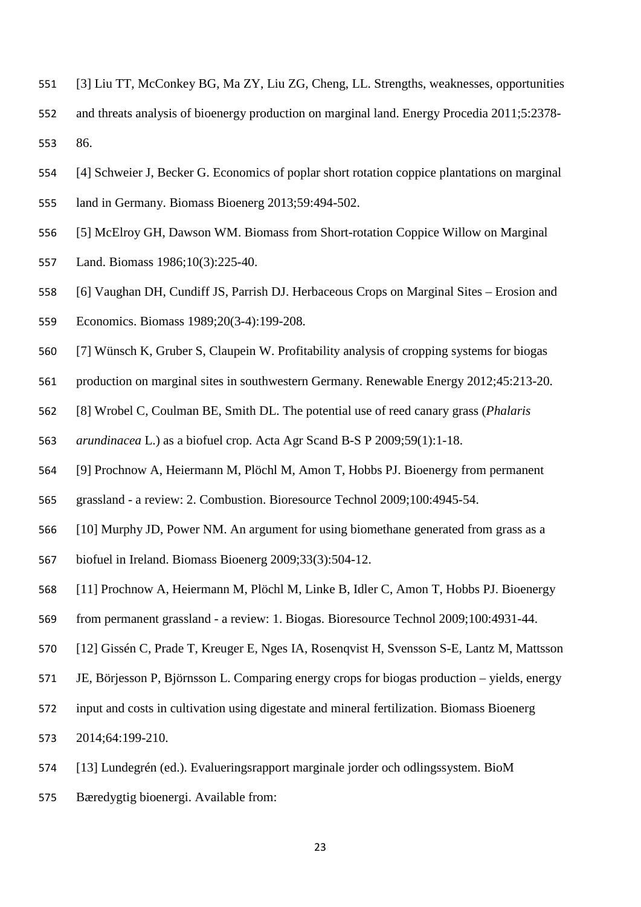- [3] Liu TT, McConkey BG, Ma ZY, Liu ZG, Cheng, LL. Strengths, weaknesses, opportunities
- and threats analysis of bioenergy production on marginal land. Energy Procedia 2011;5:2378- 86.
- [4] Schweier J, Becker G. Economics of poplar short rotation coppice plantations on marginal
- land in Germany. Biomass Bioenerg 2013;59:494-502.
- [5] McElroy GH, Dawson WM. Biomass from Short-rotation Coppice Willow on Marginal
- Land. Biomass 1986;10(3):225-40.
- [6] Vaughan DH, Cundiff JS, Parrish DJ. Herbaceous Crops on Marginal Sites Erosion and
- Economics. Biomass 1989;20(3-4):199-208.
- [7] Wünsch K, Gruber S, Claupein W. Profitability analysis of cropping systems for biogas
- production on marginal sites in southwestern Germany. Renewable Energy 2012;45:213-20.
- [8] Wrobel C, Coulman BE, Smith DL. The potential use of reed canary grass (*Phalaris*
- *arundinacea* L.) as a biofuel crop. Acta Agr Scand B-S P 2009;59(1):1-18.
- [9] Prochnow A, Heiermann M, Plöchl M, Amon T, Hobbs PJ. Bioenergy from permanent
- grassland a review: 2. Combustion. Bioresource Technol 2009;100:4945-54.
- [10] Murphy JD, Power NM. An argument for using biomethane generated from grass as a
- biofuel in Ireland. Biomass Bioenerg 2009;33(3):504-12.
- [11] Prochnow A, Heiermann M, Plöchl M, Linke B, Idler C, Amon T, Hobbs PJ. Bioenergy
- from permanent grassland a review: 1. Biogas. Bioresource Technol 2009;100:4931-44.
- [12] Gissén C, Prade T, Kreuger E, Nges IA, Rosenqvist H, Svensson S-E, Lantz M, Mattsson
- JE, Börjesson P, Björnsson L. Comparing energy crops for biogas production yields, energy
- input and costs in cultivation using digestate and mineral fertilization. Biomass Bioenerg
- 2014;64:199-210.
- [13] Lundegrén (ed.). Evalueringsrapport marginale jorder och odlingssystem. BioM
- Bæredygtig bioenergi. Available from: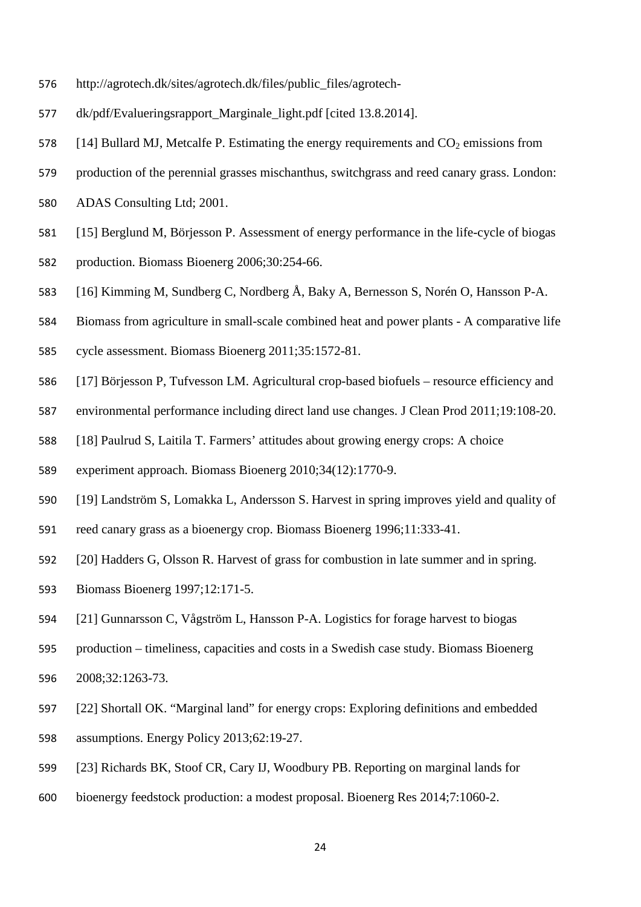- http://agrotech.dk/sites/agrotech.dk/files/public\_files/agrotech-
- dk/pdf/Evalueringsrapport\_Marginale\_light.pdf [cited 13.8.2014].
- 578 [14] Bullard MJ, Metcalfe P. Estimating the energy requirements and  $CO<sub>2</sub>$  emissions from
- production of the perennial grasses mischanthus, switchgrass and reed canary grass. London:
- ADAS Consulting Ltd; 2001.
- [15] Berglund M, Börjesson P. Assessment of energy performance in the life-cycle of biogas
- production. Biomass Bioenerg 2006;30:254-66.
- [16] Kimming M, Sundberg C, Nordberg Å, Baky A, Bernesson S, Norén O, Hansson P-A.
- Biomass from agriculture in small-scale combined heat and power plants A comparative life
- cycle assessment. Biomass Bioenerg 2011;35:1572-81.
- [17] Börjesson P, Tufvesson LM. Agricultural crop-based biofuels resource efficiency and
- environmental performance including direct land use changes. J Clean Prod 2011;19:108-20.
- [18] Paulrud S, Laitila T. Farmers' attitudes about growing energy crops: A choice
- experiment approach. Biomass Bioenerg 2010;34(12):1770-9.
- [19] Landström S, Lomakka L, Andersson S. Harvest in spring improves yield and quality of
- reed canary grass as a bioenergy crop. Biomass Bioenerg 1996;11:333-41.
- [20] Hadders G, Olsson R. Harvest of grass for combustion in late summer and in spring.
- Biomass Bioenerg 1997;12:171-5.
- [21] Gunnarsson C, Vågström L, Hansson P-A. Logistics for forage harvest to biogas
- production timeliness, capacities and costs in a Swedish case study. Biomass Bioenerg 2008;32:1263-73.
- [22] Shortall OK. "Marginal land" for energy crops: Exploring definitions and embedded
- assumptions. Energy Policy 2013;62:19-27.
- [23] Richards BK, Stoof CR, Cary IJ, Woodbury PB. Reporting on marginal lands for
- bioenergy feedstock production: a modest proposal. Bioenerg Res 2014;7:1060-2.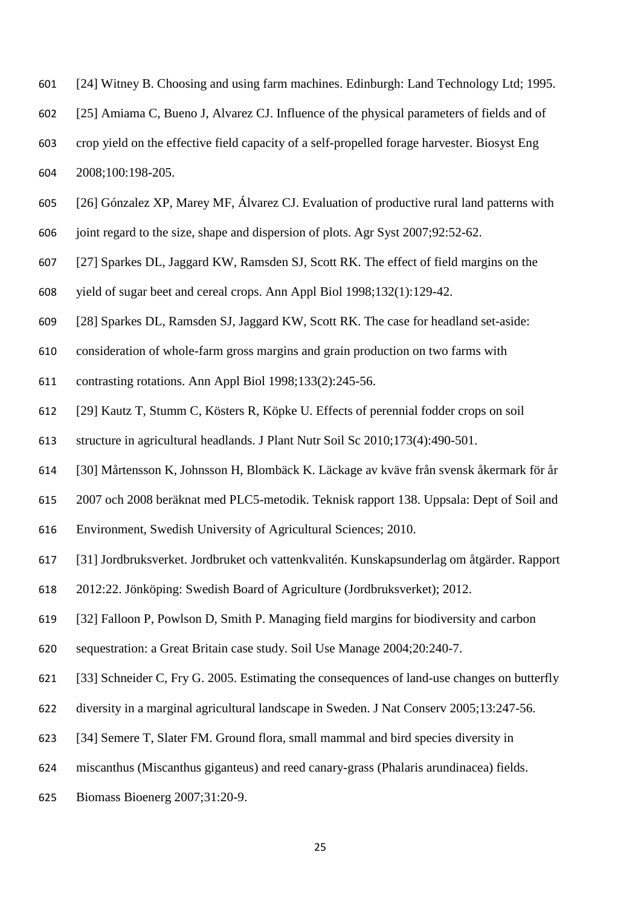- [24] Witney B. Choosing and using farm machines. Edinburgh: Land Technology Ltd; 1995.
- [25] Amiama C, Bueno J, Alvarez CJ. Influence of the physical parameters of fields and of
- crop yield on the effective field capacity of a self-propelled forage harvester. Biosyst Eng
- 2008;100:198-205.
- [26] Gónzalez XP, Marey MF, Álvarez CJ. Evaluation of productive rural land patterns with
- joint regard to the size, shape and dispersion of plots. Agr Syst 2007;92:52-62.
- [27] Sparkes DL, Jaggard KW, Ramsden SJ, Scott RK. The effect of field margins on the
- yield of sugar beet and cereal crops. Ann Appl Biol 1998;132(1):129-42.
- [28] Sparkes DL, Ramsden SJ, Jaggard KW, Scott RK. The case for headland set-aside:
- consideration of whole-farm gross margins and grain production on two farms with
- contrasting rotations. Ann Appl Biol 1998;133(2):245-56.
- [29] Kautz T, Stumm C, Kösters R, Köpke U. Effects of perennial fodder crops on soil
- structure in agricultural headlands. J Plant Nutr Soil Sc 2010;173(4):490-501.
- [30] Mårtensson K, Johnsson H, Blombäck K. Läckage av kväve från svensk åkermark för år
- 2007 och 2008 beräknat med PLC5-metodik. Teknisk rapport 138. Uppsala: Dept of Soil and
- Environment, Swedish University of Agricultural Sciences; 2010.
- [31] Jordbruksverket. Jordbruket och vattenkvalitén. Kunskapsunderlag om åtgärder. Rapport
- 2012:22. Jönköping: Swedish Board of Agriculture (Jordbruksverket); 2012.
- [32] Falloon P, Powlson D, Smith P. Managing field margins for biodiversity and carbon
- sequestration: a Great Britain case study. Soil Use Manage 2004;20:240-7.
- [33] Schneider C, Fry G. 2005. Estimating the consequences of land-use changes on butterfly
- diversity in a marginal agricultural landscape in Sweden. J Nat Conserv 2005;13:247-56.
- [34] Semere T, Slater FM. Ground flora, small mammal and bird species diversity in
- miscanthus (Miscanthus giganteus) and reed canary-grass (Phalaris arundinacea) fields.
- Biomass Bioenerg 2007;31:20-9.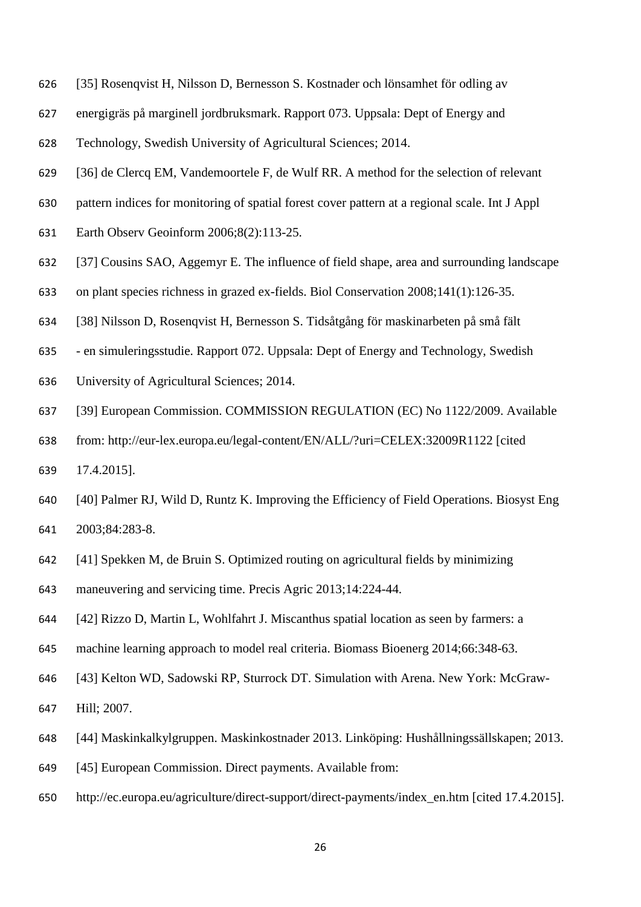- [35] Rosenqvist H, Nilsson D, Bernesson S. Kostnader och lönsamhet för odling av
- energigräs på marginell jordbruksmark. Rapport 073. Uppsala: Dept of Energy and
- Technology, Swedish University of Agricultural Sciences; 2014.
- [36] de Clercq EM, Vandemoortele F, de Wulf RR. A method for the selection of relevant
- pattern indices for monitoring of spatial forest cover pattern at a regional scale. Int J Appl
- Earth Observ Geoinform 2006;8(2):113-25.
- [37] Cousins SAO, Aggemyr E. The influence of field shape, area and surrounding landscape
- on plant species richness in grazed ex-fields. Biol Conservation 2008;141(1):126-35.
- [38] Nilsson D, Rosenqvist H, Bernesson S. Tidsåtgång för maskinarbeten på små fält
- en simuleringsstudie. Rapport 072. Uppsala: Dept of Energy and Technology, Swedish
- University of Agricultural Sciences; 2014.
- [39] European Commission. COMMISSION REGULATION (EC) No 1122/2009. Available
- from: http://eur-lex.europa.eu/legal-content/EN/ALL/?uri=CELEX:32009R1122 [cited
- 17.4.2015].
- [40] Palmer RJ, Wild D, Runtz K. Improving the Efficiency of Field Operations. Biosyst Eng 2003;84:283-8.
- [41] Spekken M, de Bruin S. Optimized routing on agricultural fields by minimizing
- maneuvering and servicing time. Precis Agric 2013;14:224-44.
- [42] Rizzo D, Martin L, Wohlfahrt J. Miscanthus spatial location as seen by farmers: a
- machine learning approach to model real criteria. Biomass Bioenerg 2014;66:348-63.
- [43] Kelton WD, Sadowski RP, Sturrock DT. Simulation with Arena. New York: McGraw-

Hill; 2007.

- [44] Maskinkalkylgruppen. Maskinkostnader 2013. Linköping: Hushållningssällskapen; 2013.
- [45] European Commission. Direct payments. Available from:
- http://ec.europa.eu/agriculture/direct-support/direct-payments/index\_en.htm [cited 17.4.2015].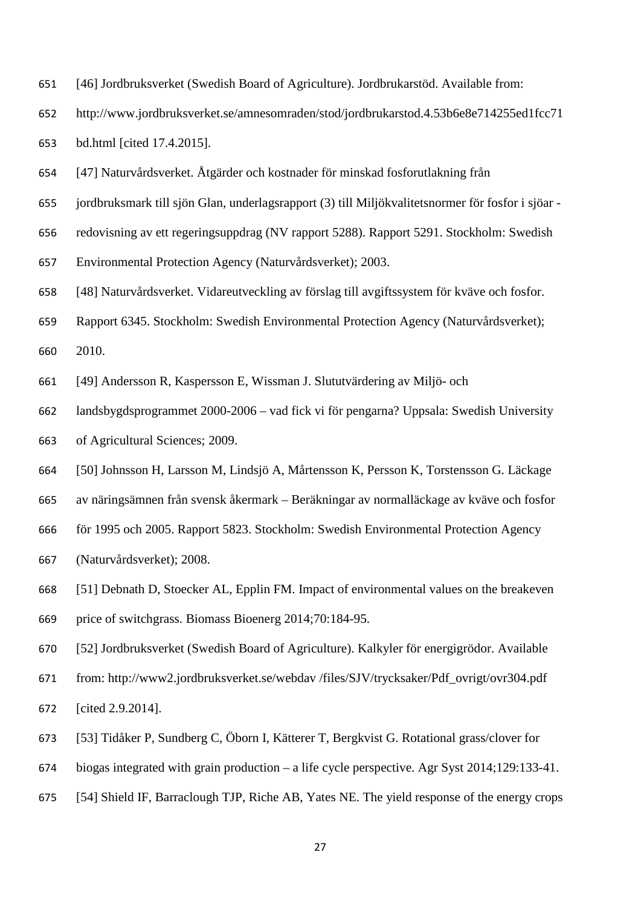- [46] Jordbruksverket (Swedish Board of Agriculture). Jordbrukarstöd. Available from:
- http://www.jordbruksverket.se/amnesomraden/stod/jordbrukarstod.4.53b6e8e714255ed1fcc71 bd.html [cited 17.4.2015].
- [47] Naturvårdsverket. Åtgärder och kostnader för minskad fosforutlakning från
- jordbruksmark till sjön Glan, underlagsrapport (3) till Miljökvalitetsnormer för fosfor i sjöar -
- redovisning av ett regeringsuppdrag (NV rapport 5288). Rapport 5291. Stockholm: Swedish
- Environmental Protection Agency (Naturvårdsverket); 2003.
- [48] Naturvårdsverket. Vidareutveckling av förslag till avgiftssystem för kväve och fosfor.
- Rapport 6345. Stockholm: Swedish Environmental Protection Agency (Naturvårdsverket);
- 2010.
- [49] Andersson R, Kaspersson E, Wissman J. Slututvärdering av Miljö- och
- landsbygdsprogrammet 2000-2006 vad fick vi för pengarna? Uppsala: Swedish University of Agricultural Sciences; 2009.
- [50] Johnsson H, Larsson M, Lindsjö A, Mårtensson K, Persson K, Torstensson G. Läckage
- av näringsämnen från svensk åkermark Beräkningar av normalläckage av kväve och fosfor
- för 1995 och 2005. Rapport 5823. Stockholm: Swedish Environmental Protection Agency
- (Naturvårdsverket); 2008.
- [51] Debnath D, Stoecker AL, Epplin FM. Impact of environmental values on the breakeven price of switchgrass. Biomass Bioenerg 2014;70:184-95.
- [52] Jordbruksverket (Swedish Board of Agriculture). Kalkyler för energigrödor. Available
- from: http://www2.jordbruksverket.se/webdav /files/SJV/trycksaker/Pdf\_ovrigt/ovr304.pdf
- [cited 2.9.2014].
- [53] Tidåker P, Sundberg C, Öborn I, Kätterer T, Bergkvist G. Rotational grass/clover for
- biogas integrated with grain production a life cycle perspective. Agr Syst 2014;129:133-41.
- [54] Shield IF, Barraclough TJP, Riche AB, Yates NE. The yield response of the energy crops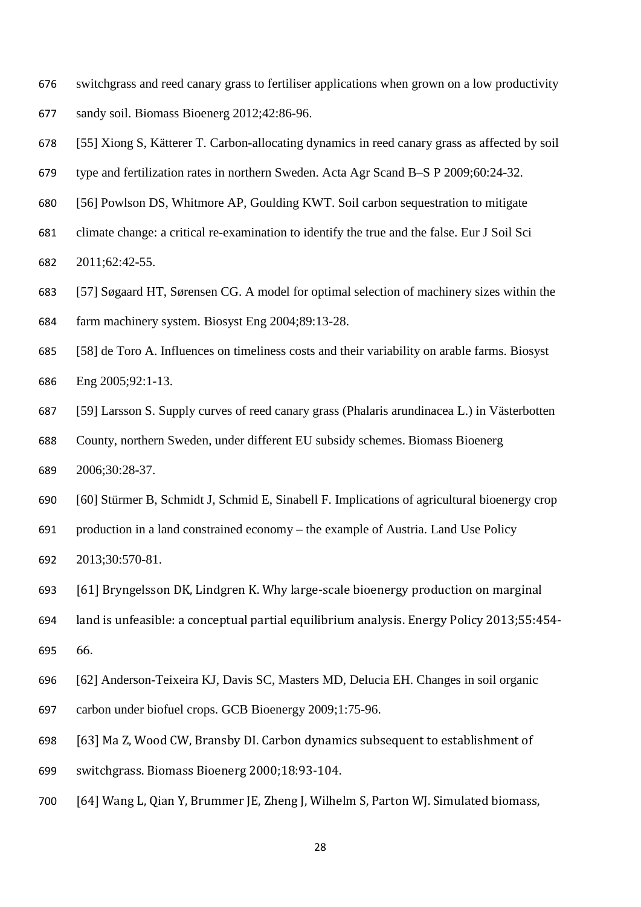- switchgrass and reed canary grass to fertiliser applications when grown on a low productivity
- sandy soil. Biomass Bioenerg 2012;42:86-96.
- [55] Xiong S, Kätterer T. Carbon-allocating dynamics in reed canary grass as affected by soil
- type and fertilization rates in northern Sweden. Acta Agr Scand B–S P 2009;60:24-32.
- [56] Powlson DS, Whitmore AP, Goulding KWT. Soil carbon sequestration to mitigate
- climate change: a critical re-examination to identify the true and the false. Eur J Soil Sci

2011;62:42-55.

- [57] Søgaard HT, Sørensen CG. A model for optimal selection of machinery sizes within the farm machinery system. Biosyst Eng 2004;89:13-28.
- [58] de Toro A. Influences on timeliness costs and their variability on arable farms. Biosyst Eng 2005;92:1-13.
- [59] Larsson S. Supply curves of reed canary grass (Phalaris arundinacea L.) in Västerbotten
- County, northern Sweden, under different EU subsidy schemes. Biomass Bioenerg 2006;30:28-37.
- [60] Stürmer B, Schmidt J, Schmid E, Sinabell F. Implications of agricultural bioenergy crop
- production in a land constrained economy the example of Austria. Land Use Policy
- 2013;30:570-81.
- [61] Bryngelsson DK, Lindgren K. Why large-scale bioenergy production on marginal
- land is unfeasible: a conceptual partial equilibrium analysis. Energy Policy 2013;55:454-
- 66.
- [62] Anderson-Teixeira KJ, Davis SC, Masters MD, Delucia EH. Changes in soil organic
- carbon under biofuel crops. GCB Bioenergy 2009;1:75-96.
- [63] Ma Z, Wood CW, Bransby DI. Carbon dynamics subsequent to establishment of
- switchgrass. Biomass Bioenerg 2000;18:93-104.
- [64] Wang L, Qian Y, Brummer JE, Zheng J, Wilhelm S, Parton WJ. Simulated biomass,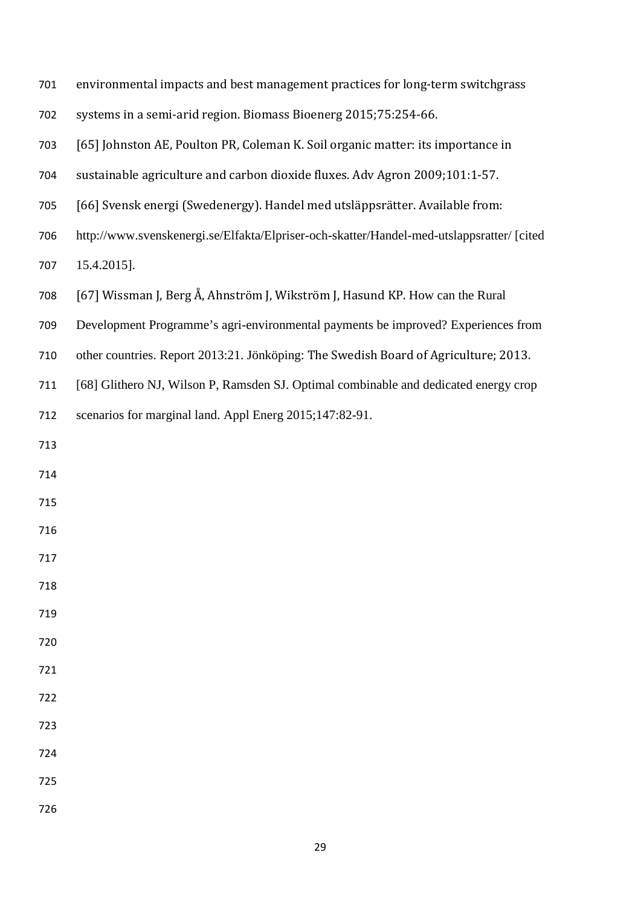| 701 |  | environmental impacts and best management practices for long-term switchgrass |  |
|-----|--|-------------------------------------------------------------------------------|--|
|-----|--|-------------------------------------------------------------------------------|--|

- systems in a semi-arid region. Biomass Bioenerg 2015;75:254-66.
- [65] Johnston AE, Poulton PR, Coleman K. Soil organic matter: its importance in
- sustainable agriculture and carbon dioxide fluxes. Adv Agron 2009;101:1-57.
- [66] Svensk energi (Swedenergy). Handel med utsläppsrätter. Available from:
- http://www.svenskenergi.se/Elfakta/Elpriser-och-skatter/Handel-med-utslappsratter/ [cited
- 15.4.2015].
- [67] Wissman J, Berg Å, Ahnström J, Wikström J, Hasund KP. How can the Rural
- Development Programme's agri-environmental payments be improved? Experiences from
- other countries. Report 2013:21. Jönköping: The Swedish Board of Agriculture; 2013.
- [68] Glithero NJ, Wilson P, Ramsden SJ. Optimal combinable and dedicated energy crop
- scenarios for marginal land. Appl Energ 2015;147:82-91.
- 
- 
- 
- 
- 
- 
- 
- 
- 
- 
- 

- 
- 
-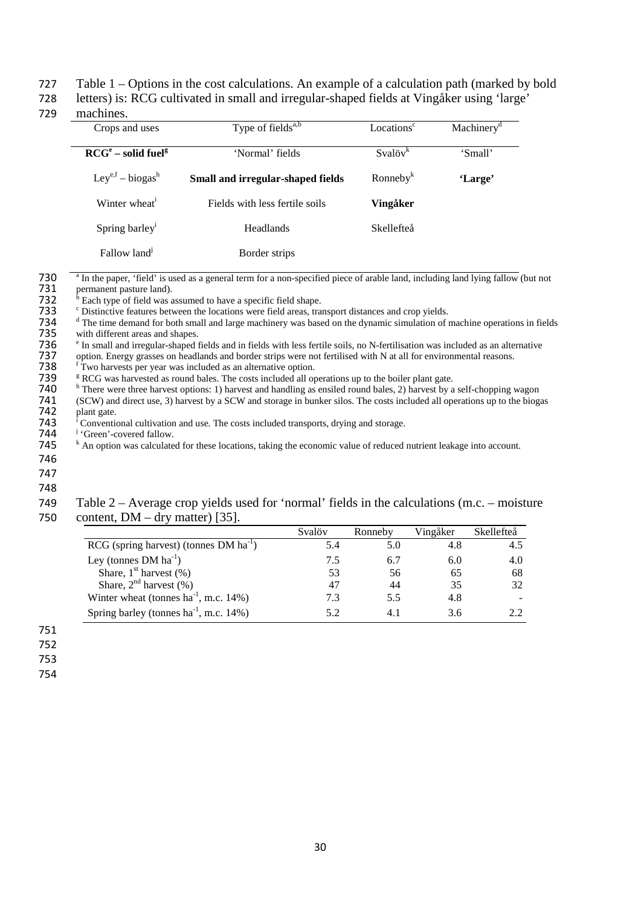#### 727 Table 1 – Options in the cost calculations. An example of a calculation path (marked by bold

728 letters) is: RCG cultivated in small and irregular-shaped fields at Vingåker using 'large'

#### 729 machines.

| Crops and uses                   | Type of fields <sup>a,b</sup>     | Locations <sup>c</sup> | Machinery <sup>d</sup> |
|----------------------------------|-----------------------------------|------------------------|------------------------|
|                                  | 'Normal' fields                   | $Svalövk$              |                        |
| $RCGe$ – solid fuel <sup>g</sup> |                                   |                        | 'Small'                |
| $Ley^{e,f} - biogas^h$           | Small and irregular-shaped fields | $R$ onneby $k$         | 'Large'                |
| Winter wheat <sup>1</sup>        | Fields with less fertile soils    | Vingåker               |                        |
| Spring barley <sup>1</sup>       | Headlands                         | <b>Skellefteå</b>      |                        |
| Fallow land                      | Border strips                     |                        |                        |

730  $\frac{a}{\text{m}}$  In the paper, 'field' is used as a general term for a non-specified piece of arable land, including land lying fallow (but not permanent pasture land).

731 permanent pasture land).<br>732  $b$  Each type of field was a 732  $\frac{6}{x}$  Each type of field was assumed to have a specific field shape.<br>733 C Distinctive features between the locations were field areas, tra

<sup>c</sup> Distinctive features between the locations were field areas, transport distances and crop yields.<br>734 <sup>d</sup> The time demand for both small and large machinery was based on the dynamic simulation of i

<sup>d</sup> The time demand for both small and large machinery was based on the dynamic simulation of machine operations in fields<br>735 with different areas and shapes. 735 with different areas and shapes.<br>736  $\degree$  In small and irregular-shaped 1

736  $\degree$  In small and irregular-shaped fields and in fields with less fertile soils, no N-fertilisation was included as an alternative option. Energy grasses on headlands and border strips were not fertilised with N at al

737 option. Energy grasses on headlands and border strips were not fertilised with N at all for environmental reasons.<br>738 <sup>f</sup> Two harvests per year was included as an alternative option.

739  $F$  RCG was harvested as round bales. The costs included all operations up to the boiler plant gate.<br>740  $\mu$  There were three harvest options: 1) harvest and handling as ensiled round bales, 2) harvest by a

<sup>h</sup> There were three harvest options: 1) harvest and handling as ensiled round bales, 2) harvest by a self-chopping wagon (SCW) and direct use, 3) harvest by a SCW and storage in bunker silos. The costs included all operat 741 (SCW) and direct use, 3) harvest by a SCW and storage in bunker silos. The costs included all operations up to the biogas plant gate. 742 plant gate.<br>743 <sup>i</sup> Conventie

<sup>1</sup> Conventional cultivation and use. The costs included transports, drying and storage.<br> **744** <sup>i</sup> 'Green'-covered fallow.

- 
- $745$   $k$  An option was calculated for these locations, taking the economic value of reduced nutrient leakage into account.
- 746
- 747

#### 748 749 Table 2 – Average crop yields used for 'normal' fields in the calculations (m.c. – moisture 750 content, DM – dry matter) [35].

|                                               | Svalöv | Ronneby | Vingåker | Skellefteå |
|-----------------------------------------------|--------|---------|----------|------------|
| $RCG$ (spring harvest) (tonnes DM $ha^{-1}$ ) | 5.4    | 5.0     | 4.8      | 4.5        |
| Ley (tonnes $DM ha^{-1}$ )                    | 7.5    | 6.7     | 6.0      | 4.0        |
| Share, $1st$ harvest $(\%)$                   | 53     | 56      | 65       | 68         |
| Share, $2nd$ harvest $(\%)$                   | 47     | 44      | 35       | 32         |
| Winter wheat (tonnes $ha^{-1}$ , m.c. 14%)    | 7.3    | 5.5     | 4.8      |            |
| Spring barley (tonnes $ha^{-1}$ , m.c. 14%)   | 5.2    |         | 3.6      |            |

751

752

753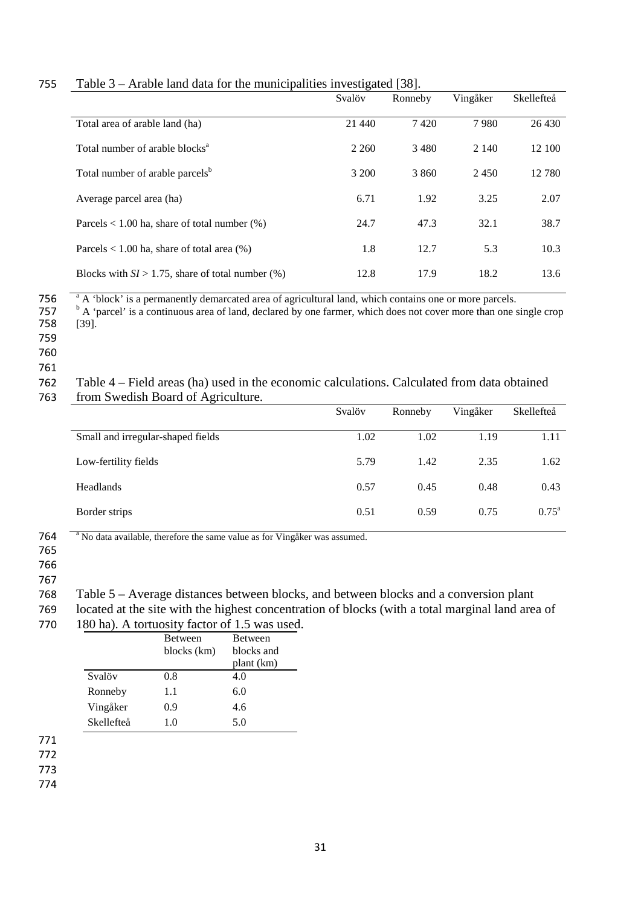|                                                        | Svalöv  | Ronneby | Vingåker | Skellefteå |
|--------------------------------------------------------|---------|---------|----------|------------|
| Total area of arable land (ha)                         | 21 440  | 7420    | 7980     | 26 430     |
| Total number of arable blocks <sup>a</sup>             | 2 2 6 0 | 3480    | 2 1 4 0  | 12 100     |
| Total number of arable parcels <sup>b</sup>            | 3 200   | 3 8 6 0 | 2450     | 12 780     |
| Average parcel area (ha)                               | 6.71    | 1.92    | 3.25     | 2.07       |
| Parcels $< 1.00$ ha, share of total number $(\%)$      | 24.7    | 47.3    | 32.1     | 38.7       |
| Parcels $< 1.00$ ha, share of total area $(\%)$        | 1.8     | 12.7    | 5.3      | 10.3       |
| Blocks with $SI > 1.75$ , share of total number $(\%)$ | 12.8    | 17.9    | 18.2     | 13.6       |

#### 755 Table 3 – Arable land data for the municipalities investigated [38].

756  $\overline{a}^{\text{a}}$  A 'block' is a permanently demarcated area of agricultural land, which contains one or more parcels.<br>757  $\overline{a}^{\text{b}}$  A 'parcel' is a continuous area of land, declared by one farmer, which does not co

 $\frac{b}{757}$   $\frac{b}{758}$  A 'parcel' is a continuous area of land, declared by one farmer, which does not cover more than one single crop [39].  $[39]$ .

- 759
- 760

#### 761

#### 762 Table 4 – Field areas (ha) used in the economic calculations. Calculated from data obtained 763 from Swedish Board of Agriculture.

|                                   | Svalöv | Ronneby | Vingåker | Skellefteå     |
|-----------------------------------|--------|---------|----------|----------------|
| Small and irregular-shaped fields | 1.02   | 1.02    | 1.19     | 1.11           |
| Low-fertility fields              | 5.79   | 1.42    | 2.35     | 1.62           |
| Headlands                         | 0.57   | 0.45    | 0.48     | 0.43           |
| Border strips                     | 0.51   | 0.59    | 0.75     | $0.75^{\rm a}$ |

<sup>a</sup> 764 No data available, therefore the same value as for Vingåker was assumed.

- 765
- 766
- 767

768 Table 5 – Average distances between blocks, and between blocks and a conversion plant

769 located at the site with the highest concentration of blocks (with a total marginal land area of

770 180 ha). A tortuosity factor of 1.5 was used.

| <b>Between</b> | <b>Between</b> |
|----------------|----------------|
| blocks (km)    | blocks and     |
|                | plant (km)     |
| 0.8            | 4.0            |
| 1.1            | 6.0            |
| 0.9            | 4.6            |
| 1.0            | 5.0            |
|                |                |

771

772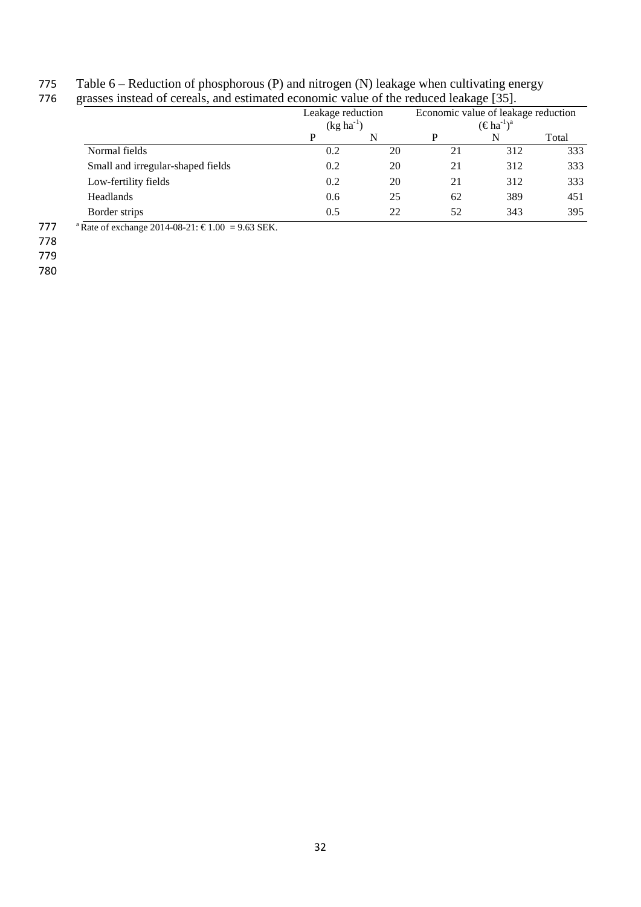# 775 Table 6 – Reduction of phosphorous (P) and nitrogen (N) leakage when cultivating energy

|                                   |     | Leakage reduction<br>Economic value of leakage reduction<br>$(\in$ ha <sup>-1</sup> ) <sup>a</sup><br>$(kg ha^{-1})$ |    |     |       |
|-----------------------------------|-----|----------------------------------------------------------------------------------------------------------------------|----|-----|-------|
|                                   | P   | N                                                                                                                    | P  | N   | Total |
| Normal fields                     | 0.2 | 20                                                                                                                   | 21 | 312 | 333   |
| Small and irregular-shaped fields | 0.2 | 20                                                                                                                   | 21 | 312 | 333   |
| Low-fertility fields              | 0.2 | 20                                                                                                                   | 21 | 312 | 333   |
| Headlands                         | 0.6 | 25                                                                                                                   | 62 | 389 | 451   |
| Border strips                     | 0.5 | 22                                                                                                                   | 52 | 343 | 395   |

777 a Rate of exchange 2014-08-21:  $\epsilon$ 1.00 = 9.63 SEK.

778

779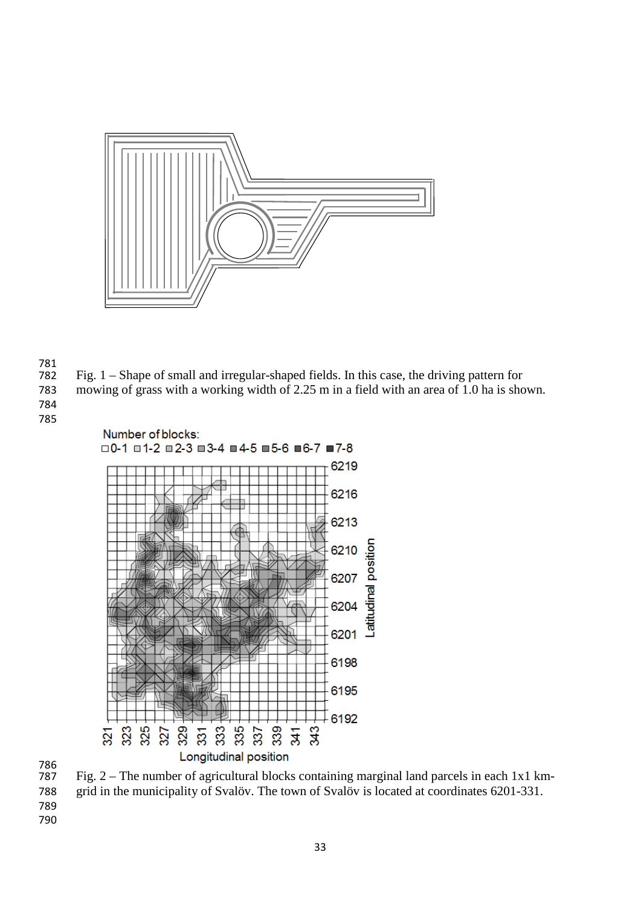

- Fig.  $1 -$  Shape of small and irregular-shaped fields. In this case, the driving pattern for
- mowing of grass with a working width of 2.25 m in a field with an area of 1.0 ha is shown.



 Fig. 2 – The number of agricultural blocks containing marginal land parcels in each 1x1 km- grid in the municipality of Svalöv. The town of Svalöv is located at coordinates 6201-331.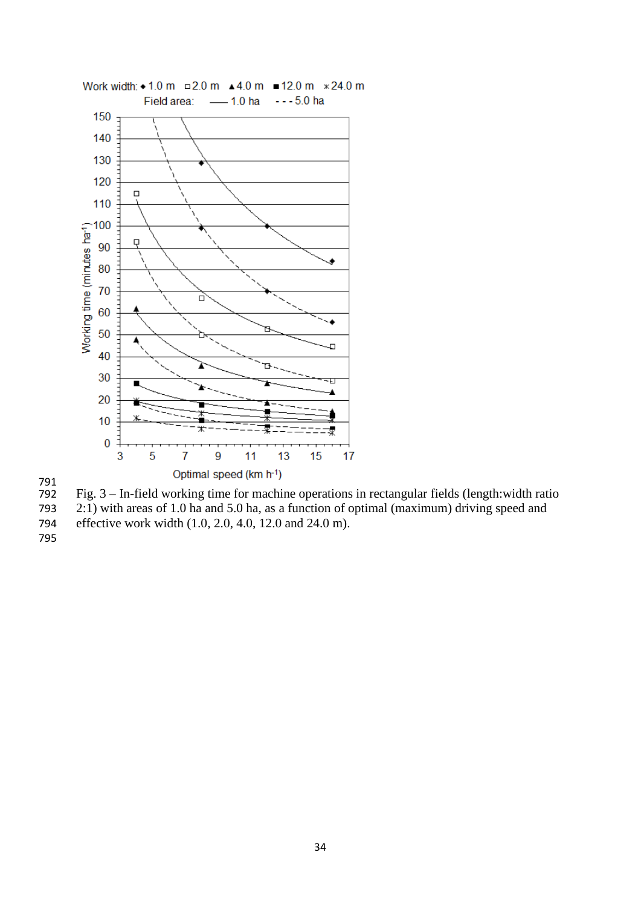



- 2:1) with areas of 1.0 ha and 5.0 ha, as a function of optimal (maximum) driving speed and
- effective work width (1.0, 2.0, 4.0, 12.0 and 24.0 m).
-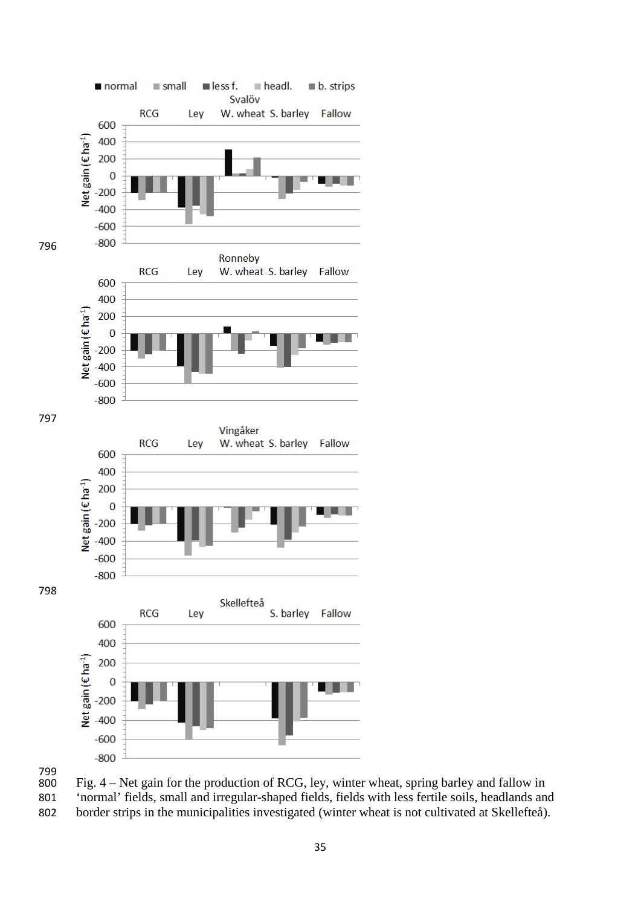



 Fig.  $4 - Net$  gain for the production of RCG, ley, winter wheat, spring barley and fallow in 'normal' fields, small and irregular-shaped fields, fields with less fertile soils, headlands and border strips in the municipalities investigated (winter wheat is not cultivated at Skellefteå).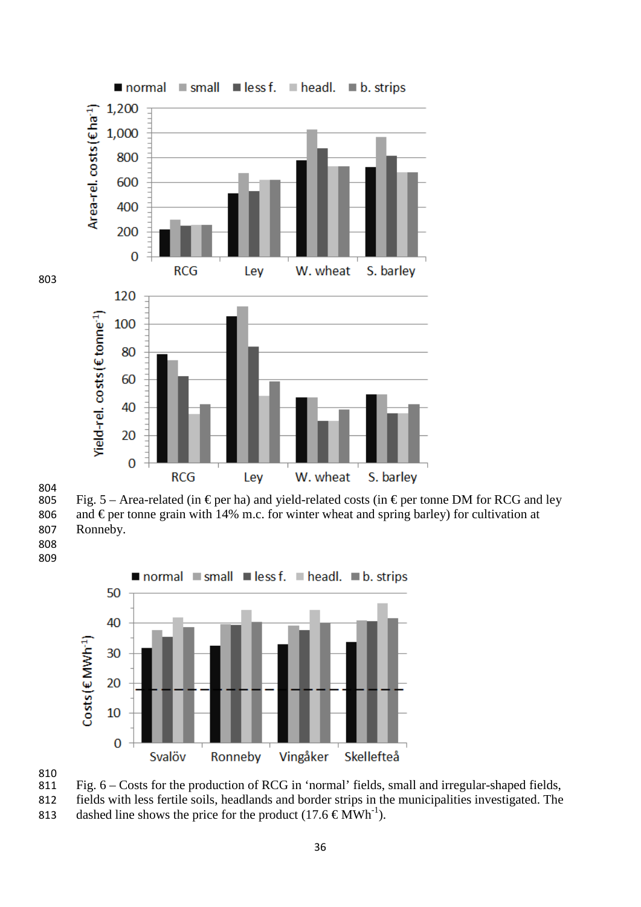



Fig. 5 – Area-related (in  $\epsilon$  per ha) and yield-related costs (in  $\epsilon$  per tonne DM for RCG and ley 806 and  $\epsilon$  per tonne grain with 14% m.c. for winter wheat and spring barley) for cultivation at Ronneby.

 







 fields with less fertile soils, headlands and border strips in the municipalities investigated. The 813 dashed line shows the price for the product  $(17.6 \text{ }\epsilon \text{MWh}^{-1})$ .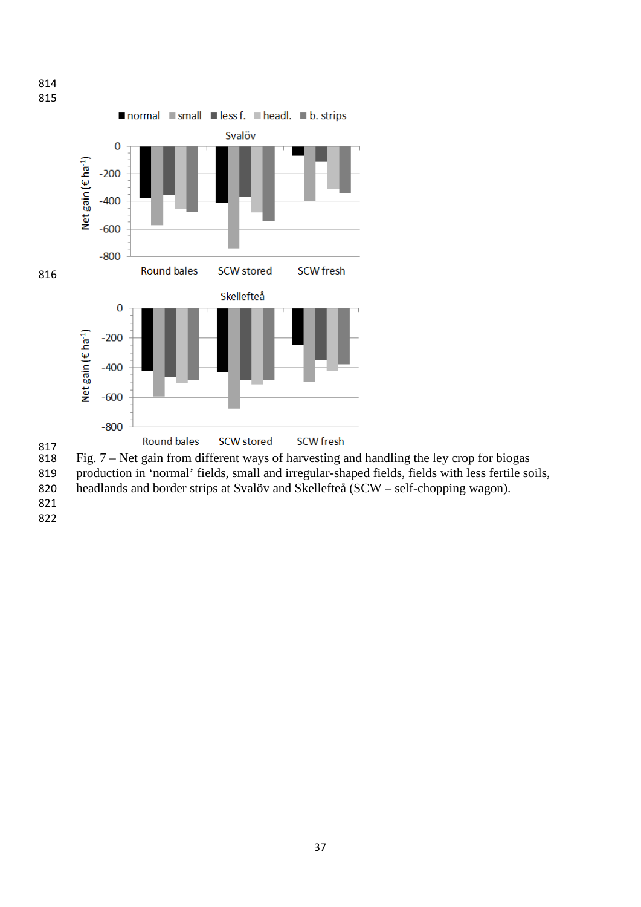

817<br>818 Fig.  $7 -$  Net gain from different ways of harvesting and handling the ley crop for biogas

production in 'normal' fields, small and irregular-shaped fields, fields with less fertile soils,

- headlands and border strips at Svalöv and Skellefteå (SCW self-chopping wagon).
-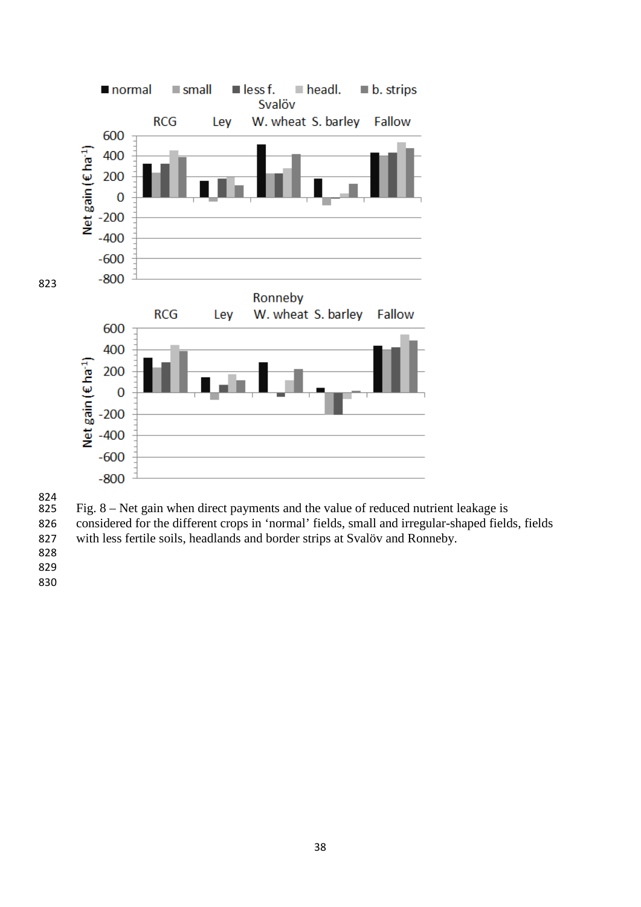

824<br>825

Fig.  $8 -$  Net gain when direct payments and the value of reduced nutrient leakage is

 considered for the different crops in 'normal' fields, small and irregular-shaped fields, fields with less fertile soils, headlands and border strips at Svalöv and Ronneby.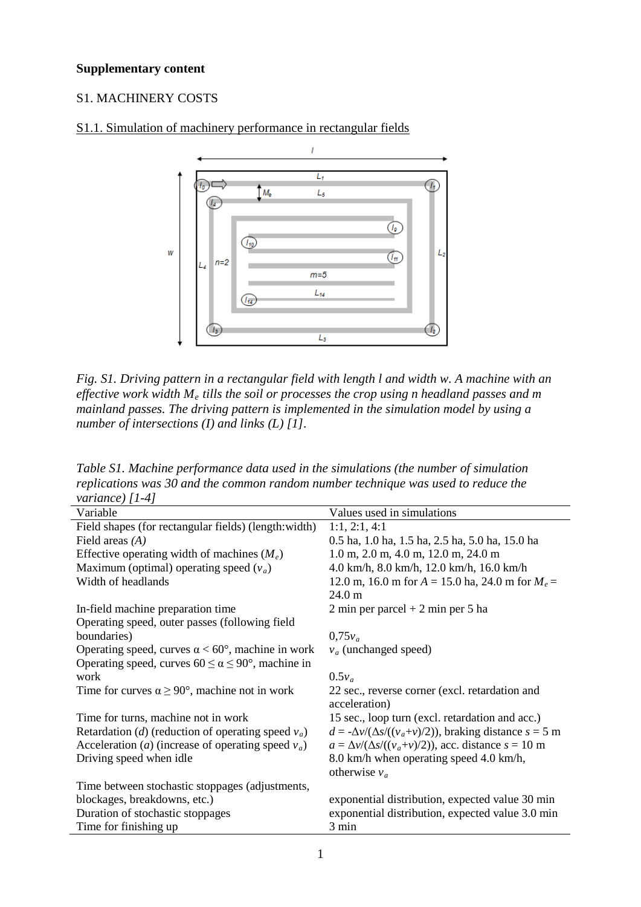### **Supplementary content**

### S1. MACHINERY COSTS



### S1.1. Simulation of machinery performance in rectangular fields

*Fig. S1. Driving pattern in a rectangular field with length l and width w. A machine with an effective work width Me tills the soil or processes the crop using n headland passes and m mainland passes. The driving pattern is implemented in the simulation model by using a number of intersections (I) and links (L) [1].*

*Table S1. Machine performance data used in the simulations (the number of simulation replications was 30 and the common random number technique was used to reduce the variance) [1-4]*

| Variable                                                            | Values used in simulations                                          |
|---------------------------------------------------------------------|---------------------------------------------------------------------|
| Field shapes (for rectangular fields) (length: width)               | 1:1, 2:1, 4:1                                                       |
| Field areas $(A)$                                                   | 0.5 ha, 1.0 ha, 1.5 ha, 2.5 ha, 5.0 ha, 15.0 ha                     |
| Effective operating width of machines $(M_e)$                       | $1.0$ m, $2.0$ m, $4.0$ m, $12.0$ m, $24.0$ m                       |
| Maximum (optimal) operating speed $(v_a)$                           | 4.0 km/h, 8.0 km/h, 12.0 km/h, 16.0 km/h                            |
| Width of headlands                                                  | 12.0 m, 16.0 m for $A = 15.0$ ha, 24.0 m for $M_e =$                |
|                                                                     | $24.0 \text{ m}$                                                    |
| In-field machine preparation time                                   | $2 \text{ min per parcel} + 2 \text{ min per 5 ha}$                 |
| Operating speed, outer passes (following field                      |                                                                     |
| boundaries)                                                         | $0.75v_a$                                                           |
| Operating speed, curves $\alpha < 60^{\circ}$ , machine in work     | $v_a$ (unchanged speed)                                             |
| Operating speed, curves $60 \le \alpha \le 90^{\circ}$ , machine in |                                                                     |
| work                                                                | $0.5v_a$                                                            |
| Time for curves $\alpha \ge 90^{\circ}$ , machine not in work       | 22 sec., reverse corner (excl. retardation and                      |
|                                                                     | acceleration)                                                       |
| Time for turns, machine not in work                                 | 15 sec., loop turn (excl. retardation and acc.)                     |
| Retardation (d) (reduction of operating speed $v_a$ )               | $d = -\Delta v/(\Delta s/((v_a+v)/2))$ , braking distance $s = 5$ m |
| Acceleration ( <i>a</i> ) (increase of operating speed $v_a$ )      | $a = \Delta v/(\Delta s/((v_a+v)/2))$ , acc. distance $s = 10$ m    |
| Driving speed when idle                                             | 8.0 km/h when operating speed 4.0 km/h,                             |
|                                                                     | otherwise $v_a$                                                     |
| Time between stochastic stoppages (adjustments,                     |                                                                     |
| blockages, breakdowns, etc.)                                        | exponential distribution, expected value 30 min                     |
| Duration of stochastic stoppages                                    | exponential distribution, expected value 3.0 min                    |
| Time for finishing up                                               | 3 min                                                               |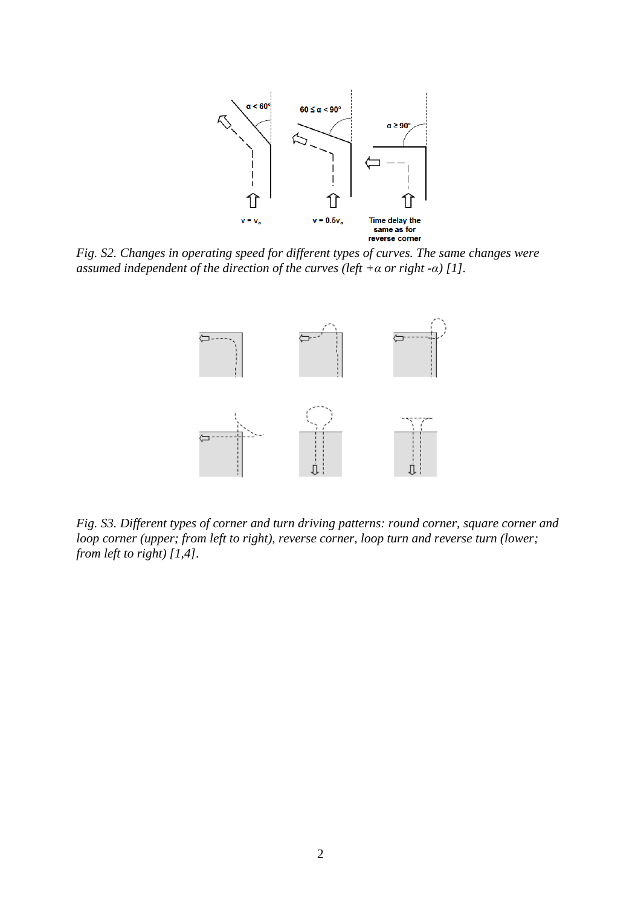

*Fig. S2. Changes in operating speed for different types of curves. The same changes were assumed independent of the direction of the curves (left +α or right -α) [1].*



*Fig. S3. Different types of corner and turn driving patterns: round corner, square corner and loop corner (upper; from left to right), reverse corner, loop turn and reverse turn (lower; from left to right) [1,4].*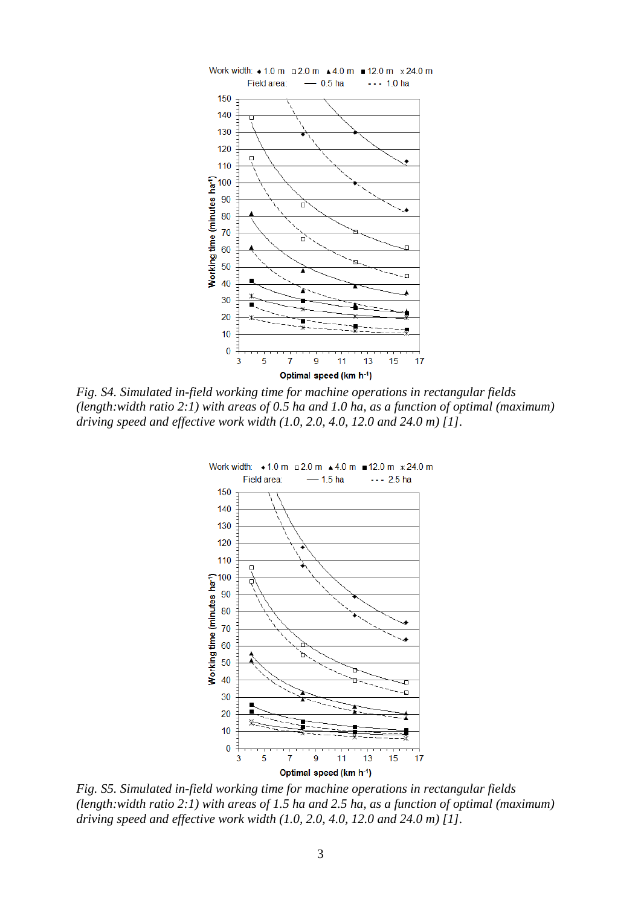

*Fig. S4. Simulated in-field working time for machine operations in rectangular fields (length:width ratio 2:1) with areas of 0.5 ha and 1.0 ha, as a function of optimal (maximum) driving speed and effective work width (1.0, 2.0, 4.0, 12.0 and 24.0 m) [1].*



*Fig. S5. Simulated in-field working time for machine operations in rectangular fields (length:width ratio 2:1) with areas of 1.5 ha and 2.5 ha, as a function of optimal (maximum) driving speed and effective work width (1.0, 2.0, 4.0, 12.0 and 24.0 m) [1].*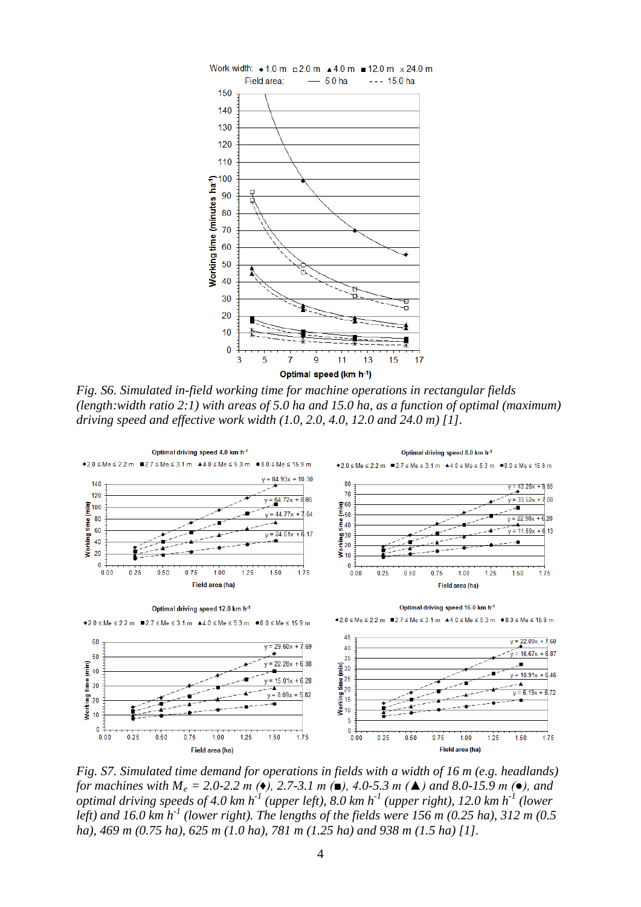

*Fig. S6. Simulated in-field working time for machine operations in rectangular fields (length:width ratio 2:1) with areas of 5.0 ha and 15.0 ha, as a function of optimal (maximum) driving speed and effective work width (1.0, 2.0, 4.0, 12.0 and 24.0 m) [1].*



*Fig. S7. Simulated time demand for operations in fields with a width of 16 m (e.g. headlands) for machines with M<sub>e</sub>* = 2.0-2.2 *m* ( $\bullet$ ), 2.7-3.1 *m* ( $\bullet$ ), 4.0-5.3 *m* ( $\bullet$ ) *and 8.0-15.9 m* ( $\bullet$ ), *and optimal driving speeds of 4.0 km h-1 (upper left), 8.0 km h-1 (upper right), 12.0 km h-1 (lower left) and 16.0 km h-1 (lower right). The lengths of the fields were 156 m (0.25 ha), 312 m (0.5 ha), 469 m (0.75 ha), 625 m (1.0 ha), 781 m (1.25 ha) and 938 m (1.5 ha) [1].*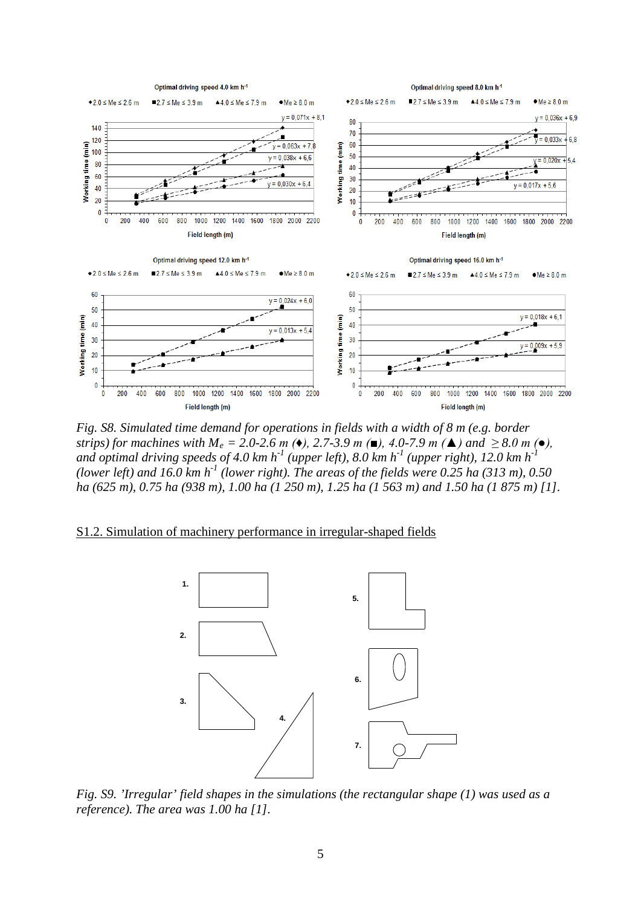

*Fig. S8. Simulated time demand for operations in fields with a width of 8 m (e.g. border strips) for machines with*  $M_e = 2.0{\text -}2.6$  *m (* $\bullet$ *), 2.7-3.9 m (* $\bullet$ *), 4.0-7.9 m (* $\bullet$ *) and*  $\geq 8.0$  *m (* $\bullet$ *),* and optimal driving speeds of 4.0 km  $h^{-1}$  (upper left), 8.0 km  $h^{-1}$  (upper right), 12.0 km  $h^{-1}$ *(lower left)* and 16.0 km  $h^{-1}$  *(lower right). The areas of the fields were 0.25 ha (313 m), 0.50*  $\overline{a}$ *ha (625 m), 0.75 ha (938 m), 1.00 ha (1 250 m), 1.25 ha (1 563 m) and 1.50 ha (1 875 m) [1].*

### S1.2. Simulation of machinery performance in irregular-shaped fields



*Fig. S9. 'Irregular' field shapes in the simulations (the rectangular shape (1) was used as a reference). The area was 1.00 ha [1].*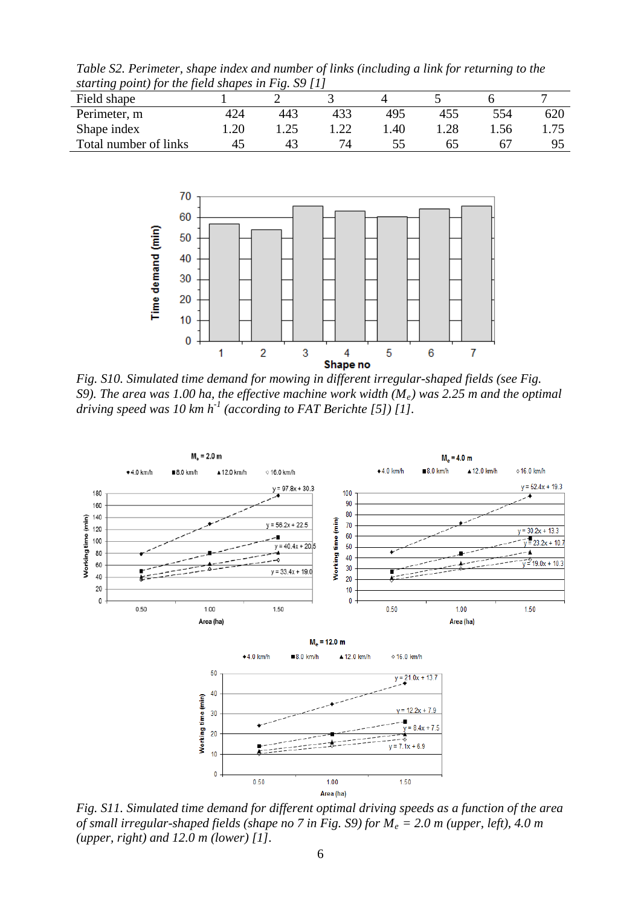*Table S2. Perimeter, shape index and number of links (including a link for returning to the starting point) for the field shapes in Fig. S9 [1]*

| Field shape           |     |      |      |     |     |       |      |
|-----------------------|-----|------|------|-----|-----|-------|------|
| Perimeter, m          | 424 | 443  | 433  | 495 | 455 | 554   | 620  |
| Shape index           | .20 | l.25 | 1 າາ | .40 |     | . .56 | 1.75 |
| Total number of links | 45  | 43   |      |     |     |       |      |



*Fig. S10. Simulated time demand for mowing in different irregular-shaped fields (see Fig. S9). The area was 1.00 ha, the effective machine work width (Me) was 2.25 m and the optimal driving speed was 10 km h-1 (according to FAT Berichte [5]) [1].*



*Fig. S11. Simulated time demand for different optimal driving speeds as a function of the area of small irregular-shaped fields (shape no 7 in Fig. S9) for Me = 2.0 m (upper, left), 4.0 m (upper, right) and 12.0 m (lower) [1].*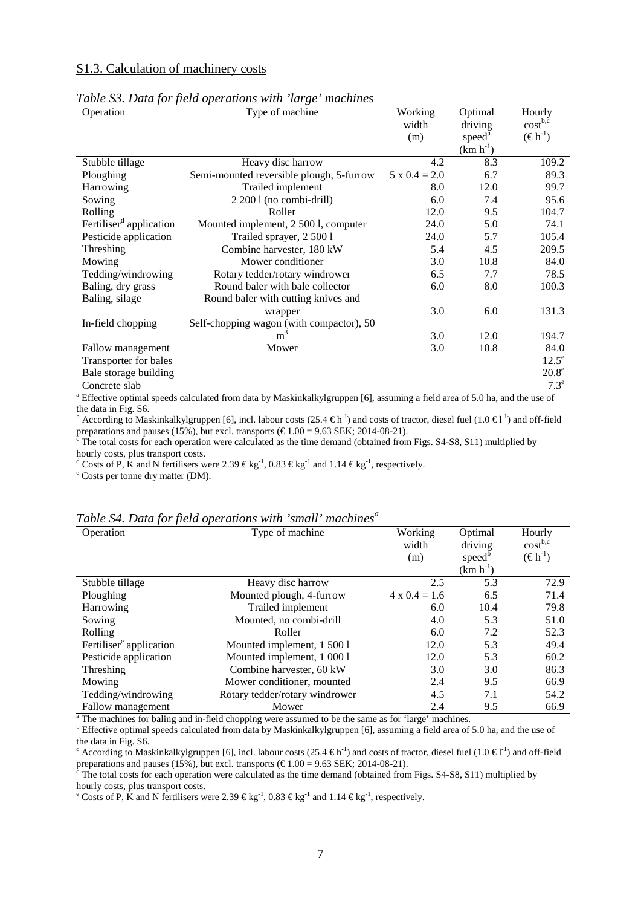#### S1.3. Calculation of machinery costs

| Operation                           | Type of machine                          | Working              | Optimal            | Hourly              |
|-------------------------------------|------------------------------------------|----------------------|--------------------|---------------------|
|                                     |                                          | width                | driving            | cost <sup>b,c</sup> |
|                                     |                                          | (m)                  | speed <sup>a</sup> | $(\epsilon h^{-1})$ |
|                                     |                                          |                      | $(km h^{-1})$      |                     |
| Stubble tillage                     | Heavy disc harrow                        | 4.2                  | 8.3                | 109.2               |
| Ploughing                           | Semi-mounted reversible plough, 5-furrow | $5 \times 0.4 = 2.0$ | 6.7                | 89.3                |
| Harrowing                           | Trailed implement                        | 8.0                  | 12.0               | 99.7                |
| Sowing                              | 2 200 1 (no combi-drill)                 | 6.0                  | 7.4                | 95.6                |
| Rolling                             | Roller                                   | 12.0                 | 9.5                | 104.7               |
| Fertiliser <sup>d</sup> application | Mounted implement, 2 500 l, computer     | 24.0                 | 5.0                | 74.1                |
| Pesticide application               | Trailed sprayer, 2 500 1                 | 24.0                 | 5.7                | 105.4               |
| Threshing                           | Combine harvester, 180 kW                | 5.4                  | 4.5                | 209.5               |
| Mowing                              | Mower conditioner                        | 3.0                  | 10.8               | 84.0                |
| Tedding/windrowing                  | Rotary tedder/rotary windrower           | 6.5                  | 7.7                | 78.5                |
| Baling, dry grass                   | Round baler with bale collector          | 6.0                  | 8.0                | 100.3               |
| Baling, silage                      | Round baler with cutting knives and      |                      |                    |                     |
|                                     | wrapper                                  | 3.0                  | 6.0                | 131.3               |
| In-field chopping                   | Self-chopping wagon (with compactor), 50 |                      |                    |                     |
|                                     | m <sup>-</sup>                           | 3.0                  | 12.0               | 194.7               |
| Fallow management                   | Mower                                    | 3.0                  | 10.8               | 84.0                |
| Transporter for bales               |                                          |                      |                    | $12.5^e$            |
| Bale storage building               |                                          |                      |                    | $20.8^e$            |
| Concrete slab                       |                                          |                      |                    | $7.3^e$             |

#### *Table S3. Data for field operations with 'large' machines*

 $a$  Effective optimal speeds calculated from data by Maskinkalkylgruppen [6], assuming a field area of 5.0 ha, and the use of the data in Fig. S6. the data in Fig. S6.<br><sup>b</sup> According to Maskinkalkylgruppen [6], incl. labour costs (25.4 €h<sup>-1</sup>) and costs of tractor, diesel fuel (1.0 €l<sup>-1</sup>) and off-field

preparations and pauses (15%), but excl. transports ( $\epsilon$ 1.00 = 9.63 SEK; 2014-08-21).<br><sup>c</sup> The total costs for each operation were calculated as the time demand (obtained from Figs. S4-S8, S11) multiplied by

hourly costs, plus transport costs.

<sup>d</sup> Costs of P, K and N fertilisers were 2.39 €kg<sup>-1</sup>, 0.83 €kg<sup>-1</sup> and 1.14 €kg<sup>-1</sup>, respectively.<br><sup>e</sup> Costs per tonne dry matter (DM).

|  | Table S4. Data for field operations with 'small' machines <sup>a</sup> |  |  |
|--|------------------------------------------------------------------------|--|--|
|  |                                                                        |  |  |

| Operation                           | Type of machine                | Working              | Optimal            | Hourly              |
|-------------------------------------|--------------------------------|----------------------|--------------------|---------------------|
|                                     |                                | width                | driving            | $cost^{b,c}$        |
|                                     |                                | (m)                  | speed <sup>b</sup> | $(\epsilon h^{-1})$ |
|                                     |                                |                      | $(km h^{-1})$      |                     |
| Stubble tillage                     | Heavy disc harrow              | 2.5                  | 5.3                | 72.9                |
| Ploughing                           | Mounted plough, 4-furrow       | $4 \times 0.4 = 1.6$ | 6.5                | 71.4                |
| Harrowing                           | Trailed implement              | 6.0                  | 10.4               | 79.8                |
| Sowing                              | Mounted, no combi-drill        | 4.0                  | 5.3                | 51.0                |
| Rolling                             | Roller                         | 6.0                  | 7.2                | 52.3                |
| Fertiliser <sup>e</sup> application | Mounted implement, 1 500 l     | 12.0                 | 5.3                | 49.4                |
| Pesticide application               | Mounted implement, 1 000 l     | 12.0                 | 5.3                | 60.2                |
| Threshing                           | Combine harvester, 60 kW       | 3.0                  | 3.0                | 86.3                |
| Mowing                              | Mower conditioner, mounted     | 2.4                  | 9.5                | 66.9                |
| Tedding/windrowing                  | Rotary tedder/rotary windrower | 4.5                  | 7.1                | 54.2                |
| Fallow management                   | Mower                          | 2.4                  | 9.5                | 66.9                |

<sup>a</sup> The machines for baling and in-field chopping were assumed to be the same as for 'large' machines.  $\frac{1}{2}$  beffective optimal speeds calculated from data by Maskinkalkylgruppen [6], assuming a field area of 5.0 ha, the data in Fig. S6.<br><sup>c</sup> According to Maskinkalkylgruppen [6], incl. labour costs (25.4 €h<sup>-1</sup>) and costs of tractor, diesel fuel (1.0 €l<sup>-1</sup>) and off-field

preparations and pauses (15%), but excl. transports ( $\epsilon$ 1.00 = 9.63 SEK; 2014-08-21).<br>d The total costs for each operation were calculated as the time demand (obtained from Figs. S4-S8, S11) multiplied by hourly costs, p hourly costs, plus transport costs.<br><sup>e</sup> Costs of P, K and N fertilisers were 2.39 €kg<sup>-1</sup>, 0.83 €kg<sup>-1</sup> and 1.14 €kg<sup>-1</sup>, respectively.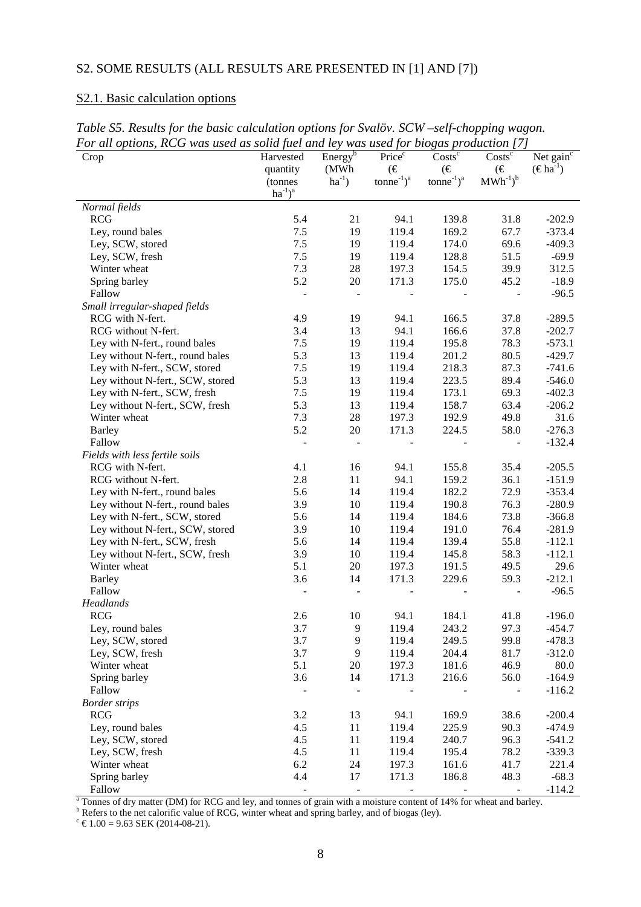# S2. SOME RESULTS (ALL RESULTS ARE PRESENTED IN [1] AND [7])

## S2.1. Basic calculation options

| Crop                             | Harvested              | Energy <sup>b</sup>      | Price <sup>c</sup>                             | $\overline{\mathrm{Costs}^c}$                  | $\overline{\text{Costs}}^c$       | Net gain <sup>c</sup>       |
|----------------------------------|------------------------|--------------------------|------------------------------------------------|------------------------------------------------|-----------------------------------|-----------------------------|
|                                  | quantity<br>(tonnes    | (MWh)<br>$ha^{-1}$ )     | $(\in$<br>tonne <sup>-1</sup> $)$ <sup>a</sup> | $(\in$<br>tonne <sup>-1</sup> $)$ <sup>a</sup> | $(\in$<br>$MWh^{-1}$ <sup>b</sup> | $(\epsilon \text{ha}^{-1})$ |
|                                  | $ha^{-1}$ <sup>a</sup> |                          |                                                |                                                |                                   |                             |
| Normal fields                    |                        |                          |                                                |                                                |                                   |                             |
| <b>RCG</b>                       | 5.4                    | 21                       | 94.1                                           | 139.8                                          | 31.8                              | $-202.9$                    |
| Ley, round bales                 | $7.5\,$                | 19                       | 119.4                                          | 169.2                                          | 67.7                              | $-373.4$                    |
| Ley, SCW, stored                 | $7.5$                  | 19                       | 119.4                                          | 174.0                                          | 69.6                              | $-409.3$                    |
| Ley, SCW, fresh                  | $7.5$                  | 19                       | 119.4                                          | 128.8                                          | 51.5                              | $-69.9$                     |
| Winter wheat                     | 7.3                    | 28                       | 197.3                                          | 154.5                                          | 39.9                              | 312.5                       |
| Spring barley                    | 5.2                    | 20                       | 171.3                                          | 175.0                                          | 45.2                              | $-18.9$                     |
| Fallow                           | $\overline{a}$         | $\overline{\phantom{0}}$ |                                                |                                                | ÷,                                | $-96.5$                     |
| Small irregular-shaped fields    |                        |                          |                                                |                                                |                                   |                             |
| RCG with N-fert.                 | 4.9                    | 19                       | 94.1                                           | 166.5                                          | 37.8                              | $-289.5$                    |
| RCG without N-fert.              | 3.4                    | 13                       | 94.1                                           | 166.6                                          | 37.8                              | $-202.7$                    |
| Ley with N-fert., round bales    | 7.5                    | 19                       | 119.4                                          | 195.8                                          | 78.3                              | $-573.1$                    |
| Ley without N-fert., round bales | 5.3                    | 13                       | 119.4                                          | 201.2                                          | 80.5                              | $-429.7$                    |
| Ley with N-fert., SCW, stored    | 7.5                    | 19                       | 119.4                                          | 218.3                                          | 87.3                              | $-741.6$                    |
| Ley without N-fert., SCW, stored | 5.3                    | 13                       | 119.4                                          | 223.5                                          | 89.4                              | $-546.0$                    |
| Ley with N-fert., SCW, fresh     | $7.5$                  | 19                       | 119.4                                          | 173.1                                          | 69.3                              | $-402.3$                    |
| Ley without N-fert., SCW, fresh  | 5.3                    | 13                       | 119.4                                          | 158.7                                          | 63.4                              | $-206.2$                    |
| Winter wheat                     | 7.3                    | $28\,$                   | 197.3                                          | 192.9                                          | 49.8                              | 31.6                        |
| <b>Barley</b>                    | 5.2                    | 20                       | 171.3                                          | 224.5                                          | 58.0                              | $-276.3$                    |
| Fallow                           | $\overline{a}$         | $\overline{a}$           |                                                |                                                | ÷,                                | $-132.4$                    |
| Fields with less fertile soils   |                        |                          |                                                |                                                |                                   |                             |
| RCG with N-fert.                 | 4.1                    | 16                       | 94.1                                           | 155.8                                          | 35.4                              | $-205.5$                    |
| RCG without N-fert.              | 2.8                    | 11                       | 94.1                                           | 159.2                                          | 36.1                              | $-151.9$                    |
| Ley with N-fert., round bales    | 5.6                    | 14                       | 119.4                                          | 182.2                                          | 72.9                              | $-353.4$                    |
| Ley without N-fert., round bales | 3.9                    | 10                       | 119.4                                          | 190.8                                          | 76.3                              | $-280.9$                    |
| Ley with N-fert., SCW, stored    | 5.6                    | 14                       | 119.4                                          | 184.6                                          | 73.8                              | $-366.8$                    |
| Ley without N-fert., SCW, stored | 3.9                    | 10                       | 119.4                                          | 191.0                                          | 76.4                              | $-281.9$                    |
| Ley with N-fert., SCW, fresh     | 5.6                    | 14                       | 119.4                                          | 139.4                                          | 55.8                              | $-112.1$                    |
| Ley without N-fert., SCW, fresh  | 3.9                    | 10                       | 119.4                                          | 145.8                                          | 58.3                              | $-112.1$                    |
| Winter wheat                     | 5.1                    | 20                       | 197.3                                          | 191.5                                          | 49.5                              | 29.6                        |
| <b>Barley</b>                    | 3.6                    | 14                       | 171.3                                          | 229.6                                          | 59.3                              | $-212.1$                    |
| Fallow                           |                        |                          |                                                |                                                |                                   | $-96.5$                     |
| Headlands                        |                        |                          |                                                |                                                |                                   |                             |
| <b>RCG</b>                       | 2.6                    | 10                       | 94.1                                           | 184.1                                          | 41.8                              | $-196.0$                    |
| Ley, round bales                 | 3.7                    | 9                        | 119.4                                          | 243.2                                          | 97.3                              | $-454.7$                    |
| Ley, SCW, stored                 | 3.7                    | 9                        | 119.4                                          | 249.5                                          | 99.8                              | $-478.3$                    |
| Ley, SCW, fresh                  | 3.7                    | 9                        | 119.4                                          | 204.4                                          | 81.7                              | $-312.0$                    |
| Winter wheat                     | 5.1                    | 20                       | 197.3                                          | 181.6                                          | 46.9                              | 80.0                        |
| Spring barley                    | 3.6                    | 14                       | 171.3                                          | 216.6                                          | 56.0                              | $-164.9$                    |
| Fallow                           |                        |                          |                                                |                                                |                                   | $-116.2$                    |
| <b>Border strips</b>             |                        |                          |                                                |                                                |                                   |                             |
| <b>RCG</b>                       | 3.2                    | 13                       | 94.1                                           | 169.9                                          | 38.6                              | $-200.4$                    |
| Ley, round bales                 | 4.5                    | 11                       | 119.4                                          | 225.9                                          | 90.3                              | $-474.9$                    |
| Ley, SCW, stored                 | 4.5                    | 11                       | 119.4                                          | 240.7                                          | 96.3                              | $-541.2$                    |
| Ley, SCW, fresh                  | 4.5                    | 11                       | 119.4                                          | 195.4                                          | 78.2                              | $-339.3$                    |
| Winter wheat                     | 6.2                    | 24                       | 197.3                                          | 161.6                                          | 41.7                              | 221.4                       |
| Spring barley                    | 4.4                    | 17                       | 171.3                                          | 186.8                                          | 48.3                              | $-68.3$                     |
| Fallow                           |                        | $\frac{1}{2}$            |                                                |                                                |                                   | $-114.2$                    |

*Table S5. Results for the basic calculation options for Svalöv. SCW –self-chopping wagon. For all options, RCG was used as solid fuel and ley was used for biogas production [7]*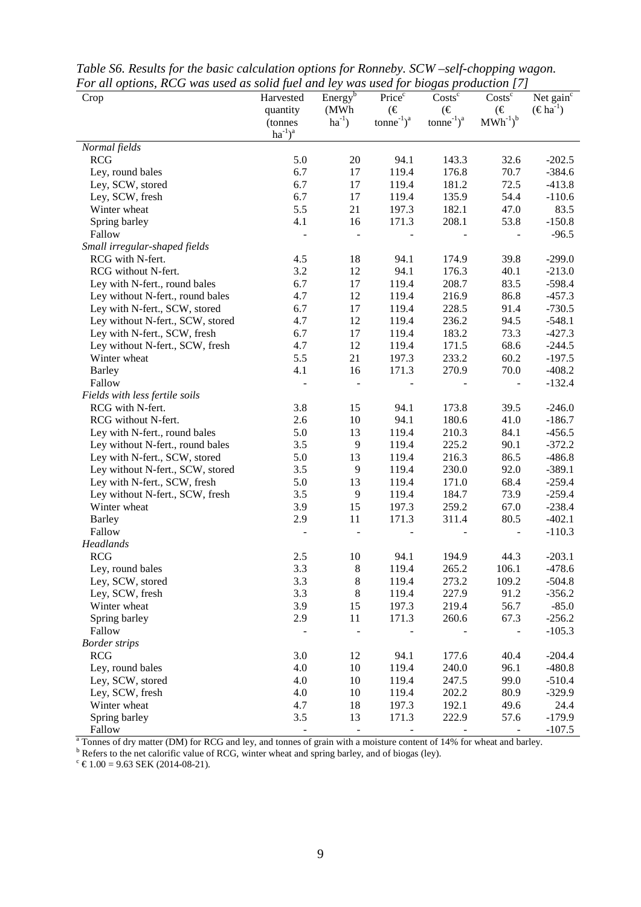| Crop                             | Harvested                | Energy <sup>b</sup><br>(MWh | Price <sup>c</sup><br>$(\in$         | $Costs^c$<br>$(\in$       | $Costs^c$<br>$(\in$                         | Net gain $\overline{c}$<br>$(\epsilon \text{ha}^{-1})$ |
|----------------------------------|--------------------------|-----------------------------|--------------------------------------|---------------------------|---------------------------------------------|--------------------------------------------------------|
|                                  | quantity<br>(tonnes      | $ha^{-1}$ )                 | tonne <sup>-1</sup> $)$ <sup>a</sup> | $tonne^{-1}$ <sup>a</sup> | $\text{MWh}^{\text{-1}}\text{)}^{\text{b}}$ |                                                        |
|                                  | $ha^{-1}$ ) <sup>a</sup> |                             |                                      |                           |                                             |                                                        |
| Normal fields                    |                          |                             |                                      |                           |                                             |                                                        |
| <b>RCG</b>                       | 5.0                      | 20                          | 94.1                                 | 143.3                     | 32.6                                        | $-202.5$                                               |
| Ley, round bales                 | 6.7                      | 17                          | 119.4                                | 176.8                     | 70.7                                        | $-384.6$                                               |
| Ley, SCW, stored                 | 6.7                      | 17                          | 119.4                                | 181.2                     | 72.5                                        | $-413.8$                                               |
| Ley, SCW, fresh                  | 6.7                      | 17                          | 119.4                                | 135.9                     | 54.4                                        | $-110.6$                                               |
| Winter wheat                     | 5.5                      | 21                          | 197.3                                | 182.1                     | 47.0                                        | 83.5                                                   |
| Spring barley                    | 4.1                      | 16                          | 171.3                                | 208.1                     | 53.8                                        | $-150.8$                                               |
| Fallow                           |                          |                             |                                      |                           |                                             | $-96.5$                                                |
| Small irregular-shaped fields    |                          |                             |                                      |                           |                                             |                                                        |
| RCG with N-fert.                 | 4.5                      | 18                          | 94.1                                 | 174.9                     | 39.8                                        | $-299.0$                                               |
| RCG without N-fert.              | 3.2                      | 12                          | 94.1                                 | 176.3                     | 40.1                                        | $-213.0$                                               |
| Ley with N-fert., round bales    | 6.7                      | 17                          | 119.4                                | 208.7                     | 83.5                                        | $-598.4$                                               |
| Ley without N-fert., round bales | 4.7                      | 12                          | 119.4                                | 216.9                     | 86.8                                        | $-457.3$                                               |
| Ley with N-fert., SCW, stored    | 6.7                      | 17                          | 119.4                                | 228.5                     | 91.4                                        | $-730.5$                                               |
| Ley without N-fert., SCW, stored | 4.7                      | 12                          | 119.4                                | 236.2                     | 94.5                                        | $-548.1$                                               |
| Ley with N-fert., SCW, fresh     | 6.7                      | 17                          | 119.4                                | 183.2                     | 73.3                                        | $-427.3$                                               |
| Ley without N-fert., SCW, fresh  | 4.7                      | 12                          | 119.4                                | 171.5                     | 68.6                                        | $-244.5$                                               |
| Winter wheat                     | 5.5                      | 21                          | 197.3                                | 233.2                     | 60.2                                        | $-197.5$                                               |
| <b>Barley</b>                    | 4.1                      | 16                          | 171.3                                | 270.9                     | 70.0                                        | $-408.2$                                               |
| Fallow                           |                          |                             |                                      |                           |                                             | $-132.4$                                               |
| Fields with less fertile soils   |                          |                             |                                      |                           |                                             |                                                        |
| RCG with N-fert.                 | 3.8                      | 15                          | 94.1                                 | 173.8                     | 39.5                                        | $-246.0$                                               |
| RCG without N-fert.              | 2.6                      | 10                          | 94.1                                 | 180.6                     | 41.0                                        | $-186.7$                                               |
| Ley with N-fert., round bales    | 5.0                      | 13                          | 119.4                                | 210.3                     | 84.1                                        | $-456.5$                                               |
| Ley without N-fert., round bales | 3.5                      | 9                           | 119.4                                | 225.2                     | 90.1                                        | $-372.2$                                               |
| Ley with N-fert., SCW, stored    | 5.0                      | 13                          | 119.4                                | 216.3                     | 86.5                                        | $-486.8$                                               |
| Ley without N-fert., SCW, stored | 3.5                      | 9                           | 119.4                                | 230.0                     | 92.0                                        | $-389.1$                                               |
| Ley with N-fert., SCW, fresh     | 5.0                      | 13                          | 119.4                                | 171.0                     | 68.4                                        | $-259.4$                                               |
| Ley without N-fert., SCW, fresh  | 3.5                      | $\overline{9}$              | 119.4                                | 184.7                     | 73.9                                        | $-259.4$                                               |
| Winter wheat                     | 3.9                      | 15                          | 197.3                                | 259.2                     | 67.0                                        | $-238.4$                                               |
| <b>Barley</b>                    | 2.9                      | 11                          | 171.3                                | 311.4                     | 80.5                                        | $-402.1$                                               |
| Fallow                           |                          |                             |                                      |                           | $\blacksquare$                              | $-110.3$                                               |
| Headlands                        |                          |                             |                                      |                           |                                             |                                                        |
| <b>RCG</b>                       | 2.5                      | 10                          | 94.1                                 | 194.9                     | 44.3                                        | $-203.1$                                               |
| Ley, round bales                 | 3.3                      | $\,8\,$                     | 119.4                                | 265.2                     | 106.1                                       | $-478.6$                                               |
| Ley, SCW, stored                 | 3.3                      | $\,8\,$                     | 119.4                                | 273.2                     | 109.2                                       | $-504.8$                                               |
| Ley, SCW, fresh                  | 3.3                      | $\,8\,$                     | 119.4                                | 227.9                     | 91.2                                        | $-356.2$                                               |
| Winter wheat                     | 3.9                      | 15                          | 197.3                                | 219.4                     | 56.7                                        | $-85.0$                                                |
| Spring barley                    | 2.9                      | 11                          | 171.3                                | 260.6                     | 67.3                                        | $-256.2$                                               |
| Fallow                           |                          |                             |                                      |                           |                                             | $-105.3$                                               |
| <b>Border strips</b>             |                          |                             |                                      |                           |                                             |                                                        |
| <b>RCG</b>                       | 3.0                      | 12                          | 94.1                                 | 177.6                     | 40.4                                        | $-204.4$                                               |
| Ley, round bales                 | 4.0                      | 10                          | 119.4                                | 240.0                     | 96.1                                        | $-480.8$                                               |
| Ley, SCW, stored                 | 4.0                      | 10                          | 119.4                                | 247.5                     | 99.0                                        | $-510.4$                                               |
| Ley, SCW, fresh                  | 4.0                      | 10                          | 119.4                                | 202.2                     | 80.9                                        | $-329.9$                                               |
| Winter wheat                     | 4.7                      | 18                          | 197.3                                | 192.1                     | 49.6                                        | 24.4                                                   |
| Spring barley                    | 3.5                      | 13                          | 171.3                                | 222.9                     | 57.6                                        | $-179.9$                                               |
| Fallow                           |                          |                             |                                      |                           |                                             | $-107.5$                                               |

*Table S6. Results for the basic calculation options for Ronneby. SCW –self-chopping wagon. For all options, RCG was used as solid fuel and ley was used for biogas production [7]*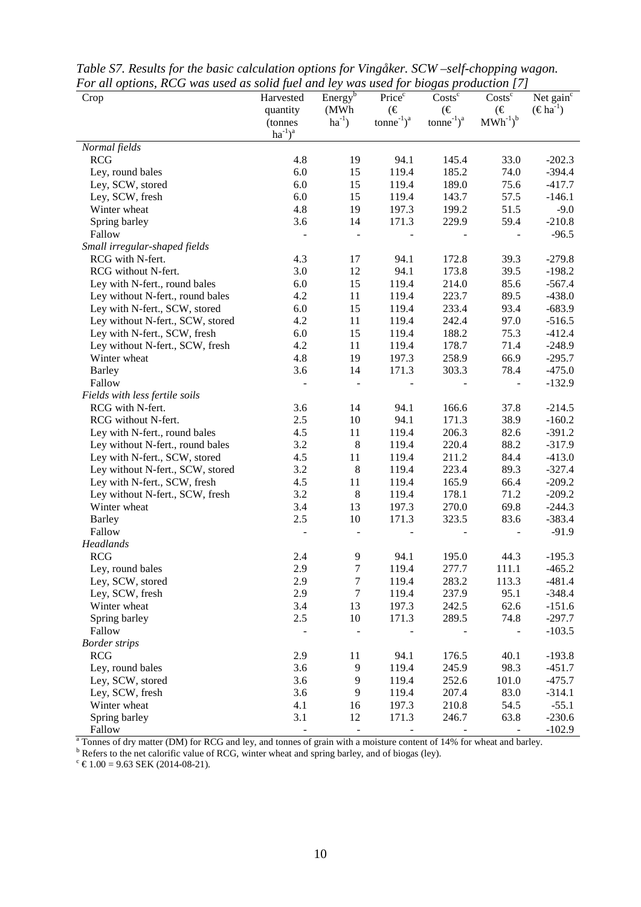| Crop                             | Harvested                 | Energy <sup>6</sup> | Price <sup>c</sup>                             | $Costs^c$                           | $Costs^c$<br>$(\in$                         | Net gain $\overline{c}$     |
|----------------------------------|---------------------------|---------------------|------------------------------------------------|-------------------------------------|---------------------------------------------|-----------------------------|
|                                  | quantity<br>(tonnes       | (MWh<br>$ha^{-1}$ ) | $(\in$<br>tonne <sup>-1</sup> $)$ <sup>a</sup> | $(\in$<br>$tonne^{-1}$ <sup>a</sup> | $\text{MWh}^{\text{-1}}\text{)}^{\text{b}}$ | $(\epsilon \text{ha}^{-1})$ |
|                                  | $\hbox{ha}^{-1})^{\rm a}$ |                     |                                                |                                     |                                             |                             |
| Normal fields                    |                           |                     |                                                |                                     |                                             |                             |
| <b>RCG</b>                       | 4.8                       | 19                  | 94.1                                           | 145.4                               | 33.0                                        | $-202.3$                    |
| Ley, round bales                 | 6.0                       | 15                  | 119.4                                          | 185.2                               | 74.0                                        | $-394.4$                    |
| Ley, SCW, stored                 | 6.0                       | 15                  | 119.4                                          | 189.0                               | 75.6                                        | $-417.7$                    |
| Ley, SCW, fresh                  | 6.0                       | 15                  | 119.4                                          | 143.7                               | 57.5                                        | $-146.1$                    |
| Winter wheat                     | 4.8                       | 19                  | 197.3                                          | 199.2                               | 51.5                                        | $-9.0$                      |
| Spring barley                    | 3.6                       | 14                  | 171.3                                          | 229.9                               | 59.4                                        | $-210.8$                    |
| Fallow                           |                           |                     |                                                |                                     |                                             | $-96.5$                     |
| Small irregular-shaped fields    |                           |                     |                                                |                                     |                                             |                             |
| RCG with N-fert.                 | 4.3                       | 17                  | 94.1                                           | 172.8                               | 39.3                                        | $-279.8$                    |
| RCG without N-fert.              | 3.0                       | 12                  | 94.1                                           | 173.8                               | 39.5                                        | $-198.2$                    |
| Ley with N-fert., round bales    | 6.0                       | 15                  | 119.4                                          | 214.0                               | 85.6                                        | $-567.4$                    |
| Ley without N-fert., round bales | 4.2                       | 11                  | 119.4                                          | 223.7                               | 89.5                                        | $-438.0$                    |
| Ley with N-fert., SCW, stored    | 6.0                       | 15                  | 119.4                                          | 233.4                               | 93.4                                        | $-683.9$                    |
| Ley without N-fert., SCW, stored | 4.2                       | 11                  | 119.4                                          | 242.4                               | 97.0                                        | $-516.5$                    |
| Ley with N-fert., SCW, fresh     | 6.0                       | 15                  | 119.4                                          | 188.2                               | 75.3                                        | $-412.4$                    |
| Ley without N-fert., SCW, fresh  | 4.2                       | 11                  | 119.4                                          | 178.7                               | 71.4                                        | $-248.9$                    |
| Winter wheat                     | 4.8                       | 19                  | 197.3                                          | 258.9                               | 66.9                                        | $-295.7$                    |
| <b>Barley</b>                    | 3.6                       | 14                  | 171.3                                          | 303.3                               | 78.4                                        | $-475.0$                    |
| Fallow                           |                           |                     |                                                |                                     |                                             | $-132.9$                    |
| Fields with less fertile soils   |                           |                     |                                                |                                     |                                             |                             |
| RCG with N-fert.                 | 3.6                       | 14                  | 94.1                                           | 166.6                               | 37.8                                        | $-214.5$                    |
| RCG without N-fert.              | 2.5                       | 10                  | 94.1                                           | 171.3                               | 38.9                                        | $-160.2$                    |
| Ley with N-fert., round bales    | 4.5                       | 11                  | 119.4                                          | 206.3                               | 82.6                                        | $-391.2$                    |
| Ley without N-fert., round bales | 3.2                       | $\,8\,$             | 119.4                                          | 220.4                               | 88.2                                        | $-317.9$                    |
| Ley with N-fert., SCW, stored    | 4.5                       | 11                  | 119.4                                          | 211.2                               | 84.4                                        | $-413.0$                    |
| Ley without N-fert., SCW, stored | 3.2                       | $\,8\,$             | 119.4                                          | 223.4                               | 89.3                                        | $-327.4$                    |
| Ley with N-fert., SCW, fresh     | 4.5                       | 11                  | 119.4                                          | 165.9                               | 66.4                                        | $-209.2$                    |
| Ley without N-fert., SCW, fresh  | 3.2                       | $\,8\,$             | 119.4                                          | 178.1                               | 71.2                                        | $-209.2$                    |
| Winter wheat                     | 3.4                       | 13                  | 197.3                                          | 270.0                               | 69.8                                        | $-244.3$                    |
| <b>Barley</b>                    | 2.5                       | 10                  | 171.3                                          | 323.5                               | 83.6                                        | $-383.4$                    |
| Fallow                           |                           |                     |                                                |                                     |                                             | $-91.9$                     |
| Headlands                        |                           |                     |                                                |                                     |                                             |                             |
| <b>RCG</b>                       | 2.4                       | 9                   | 94.1                                           | 195.0                               | 44.3                                        | $-195.3$                    |
| Ley, round bales                 | 2.9                       | $\boldsymbol{7}$    | 119.4                                          | 277.7                               | 111.1                                       | $-465.2$                    |
| Ley, SCW, stored                 | 2.9                       | $\tau$              | 119.4                                          | 283.2                               | 113.3                                       | $-481.4$                    |
| Ley, SCW, fresh                  | 2.9                       | $\boldsymbol{7}$    | 119.4                                          | 237.9                               | 95.1                                        | $-348.4$                    |
| Winter wheat                     | 3.4                       | 13                  | 197.3                                          | 242.5                               | 62.6                                        | $-151.6$                    |
| Spring barley                    | 2.5                       | 10                  | 171.3                                          | 289.5                               | 74.8                                        | $-297.7$                    |
| Fallow                           |                           |                     |                                                |                                     | $\blacksquare$                              | $-103.5$                    |
| <b>Border strips</b>             |                           |                     |                                                |                                     |                                             |                             |
| <b>RCG</b>                       | 2.9                       | 11                  | 94.1                                           | 176.5                               | 40.1                                        | $-193.8$                    |
| Ley, round bales                 | 3.6                       | 9                   | 119.4                                          | 245.9                               | 98.3                                        | $-451.7$                    |
| Ley, SCW, stored                 | 3.6                       | 9                   | 119.4                                          | 252.6                               | 101.0                                       | $-475.7$                    |
| Ley, SCW, fresh                  | 3.6                       | 9                   | 119.4                                          | 207.4                               | 83.0                                        | $-314.1$                    |
| Winter wheat                     | 4.1                       | 16                  | 197.3                                          | 210.8                               | 54.5                                        | $-55.1$                     |
| Spring barley                    | 3.1                       | 12                  | 171.3                                          | 246.7                               | 63.8                                        | $-230.6$                    |
| Fallow                           |                           |                     |                                                |                                     |                                             | $-102.9$                    |

*Table S7. Results for the basic calculation options for Vingåker. SCW –self-chopping wagon. For all options, RCG was used as solid fuel and ley was used for biogas production [7]*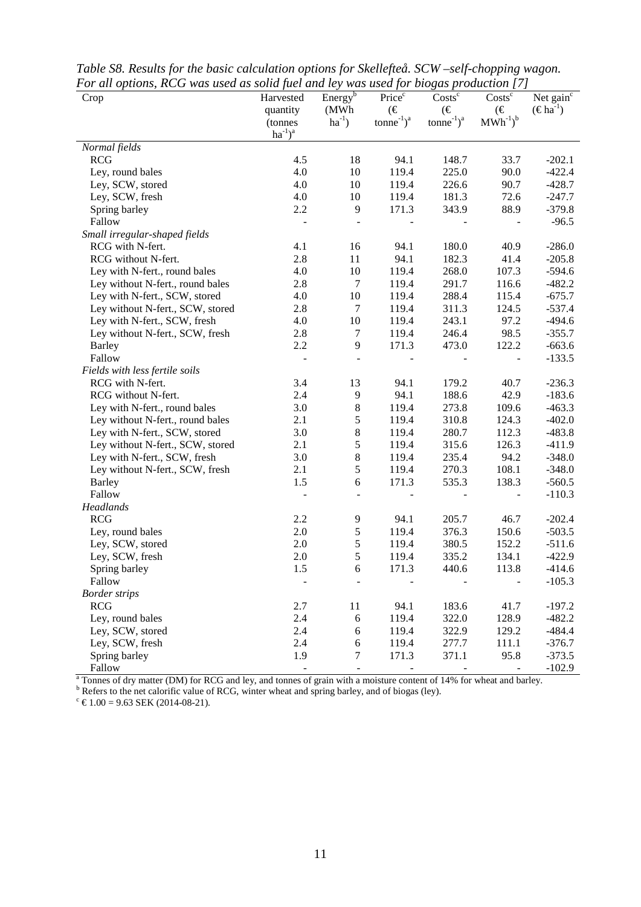| Por un opnons, KCO was used as sona juei una ley was used jor biogas production [7]<br>Crop | Harvested<br>quantity<br>(tonnes | Energy <sup>b</sup><br>(MWh)<br>$ha^{-1}$ ) | Price <sup>c</sup><br>$(\in$<br>$tonne^{-1}$ <sup>a</sup> | $Costs^c$<br>$(\in$<br>$tonne^{-1}$ <sup>a</sup> | $\text{Costs}^{\overline{c}}$<br>$(\in$<br>$MWh^{-1}$ <sup>b</sup> | Net gain <sup>c</sup><br>$(\epsilon \text{h}a^{-1})$ |
|---------------------------------------------------------------------------------------------|----------------------------------|---------------------------------------------|-----------------------------------------------------------|--------------------------------------------------|--------------------------------------------------------------------|------------------------------------------------------|
|                                                                                             | $ha^{-1}$ <sup>a</sup>           |                                             |                                                           |                                                  |                                                                    |                                                      |
| Normal fields                                                                               |                                  |                                             |                                                           |                                                  |                                                                    |                                                      |
| <b>RCG</b>                                                                                  | 4.5                              | 18                                          | 94.1                                                      | 148.7                                            | 33.7                                                               | $-202.1$                                             |
| Ley, round bales                                                                            | 4.0                              | 10                                          | 119.4                                                     | 225.0                                            | 90.0                                                               | $-422.4$                                             |
| Ley, SCW, stored                                                                            | 4.0                              | 10                                          | 119.4                                                     | 226.6                                            | 90.7                                                               | $-428.7$                                             |
| Ley, SCW, fresh                                                                             | 4.0                              | 10                                          | 119.4                                                     | 181.3                                            | 72.6                                                               | $-247.7$                                             |
| Spring barley                                                                               | 2.2                              | 9                                           | 171.3                                                     | 343.9                                            | 88.9                                                               | $-379.8$                                             |
| Fallow                                                                                      |                                  |                                             |                                                           |                                                  |                                                                    | $-96.5$                                              |
| Small irregular-shaped fields                                                               |                                  |                                             |                                                           |                                                  |                                                                    |                                                      |
| RCG with N-fert.                                                                            | 4.1                              | 16                                          | 94.1                                                      | 180.0                                            | 40.9                                                               | $-286.0$                                             |
| RCG without N-fert.                                                                         | 2.8                              | 11                                          | 94.1                                                      | 182.3                                            | 41.4                                                               | $-205.8$                                             |
| Ley with N-fert., round bales                                                               | 4.0                              | 10                                          | 119.4                                                     | 268.0                                            | 107.3                                                              | $-594.6$                                             |
| Ley without N-fert., round bales                                                            | 2.8                              | $\tau$                                      | 119.4                                                     | 291.7                                            | 116.6                                                              | $-482.2$                                             |
| Ley with N-fert., SCW, stored                                                               | 4.0                              | 10                                          | 119.4                                                     | 288.4                                            | 115.4                                                              | $-675.7$                                             |
| Ley without N-fert., SCW, stored                                                            | 2.8                              | $\boldsymbol{7}$                            | 119.4                                                     | 311.3                                            | 124.5                                                              | $-537.4$                                             |
| Ley with N-fert., SCW, fresh                                                                | 4.0                              | 10                                          | 119.4                                                     | 243.1                                            | 97.2                                                               | $-494.6$                                             |
| Ley without N-fert., SCW, fresh                                                             | 2.8                              | $\tau$                                      | 119.4                                                     | 246.4                                            | 98.5                                                               | $-355.7$                                             |
| <b>Barley</b>                                                                               | 2.2                              | 9                                           | 171.3                                                     | 473.0                                            | 122.2                                                              | $-663.6$                                             |
| Fallow                                                                                      |                                  |                                             |                                                           |                                                  |                                                                    | $-133.5$                                             |
| Fields with less fertile soils                                                              |                                  |                                             |                                                           |                                                  |                                                                    |                                                      |
| RCG with N-fert.                                                                            | 3.4                              | 13                                          | 94.1                                                      | 179.2                                            | 40.7                                                               | $-236.3$                                             |
| RCG without N-fert.                                                                         | 2.4                              | 9                                           | 94.1                                                      | 188.6                                            | 42.9                                                               | $-183.6$                                             |
| Ley with N-fert., round bales                                                               | 3.0                              | $\,8\,$                                     | 119.4                                                     | 273.8                                            | 109.6                                                              | $-463.3$                                             |
| Ley without N-fert., round bales                                                            | 2.1                              | 5                                           | 119.4                                                     | 310.8                                            | 124.3                                                              | $-402.0$                                             |
| Ley with N-fert., SCW, stored                                                               | 3.0                              | $\,8$                                       | 119.4                                                     | 280.7                                            | 112.3                                                              | $-483.8$                                             |
| Ley without N-fert., SCW, stored                                                            | 2.1                              | 5                                           | 119.4                                                     | 315.6                                            | 126.3                                                              | $-411.9$                                             |
| Ley with N-fert., SCW, fresh                                                                | 3.0                              | $\,8\,$                                     | 119.4                                                     | 235.4                                            | 94.2                                                               | $-348.0$                                             |
| Ley without N-fert., SCW, fresh                                                             | 2.1                              | $\sqrt{5}$                                  | 119.4                                                     | 270.3                                            | 108.1                                                              | $-348.0$                                             |
| <b>Barley</b>                                                                               | 1.5                              | $\epsilon$                                  | 171.3                                                     | 535.3                                            | 138.3                                                              | $-560.5$                                             |
| Fallow                                                                                      |                                  |                                             |                                                           |                                                  | $\blacksquare$                                                     | $-110.3$                                             |
| Headlands                                                                                   |                                  |                                             |                                                           |                                                  |                                                                    |                                                      |
| <b>RCG</b>                                                                                  | 2.2                              | 9                                           | 94.1                                                      | 205.7                                            | 46.7                                                               | $-202.4$                                             |
| Ley, round bales                                                                            | 2.0                              | $\mathfrak s$                               | 119.4                                                     | 376.3                                            | 150.6                                                              | $-503.5$                                             |
| Ley, SCW, stored                                                                            | 2.0                              | 5                                           | 119.4                                                     | 380.5                                            | 152.2                                                              | $-511.6$                                             |
| Ley, SCW, fresh                                                                             | 2.0                              | 5                                           | 119.4                                                     | 335.2                                            | 134.1                                                              | $-422.9$                                             |
| Spring barley                                                                               | 1.5                              | $\boldsymbol{6}$                            | 171.3                                                     | 440.6                                            | 113.8                                                              | $-414.6$                                             |
| Fallow                                                                                      |                                  |                                             |                                                           |                                                  |                                                                    | $-105.3$                                             |
| <b>Border strips</b>                                                                        |                                  |                                             |                                                           |                                                  |                                                                    |                                                      |
| <b>RCG</b>                                                                                  | 2.7                              | 11                                          | 94.1                                                      | 183.6                                            | 41.7                                                               | $-197.2$                                             |
| Ley, round bales                                                                            | 2.4                              | $\sqrt{6}$                                  | 119.4                                                     | 322.0                                            | 128.9                                                              | $-482.2$                                             |
| Ley, SCW, stored                                                                            | 2.4                              | $\sqrt{6}$                                  | 119.4                                                     | 322.9                                            | 129.2                                                              | $-484.4$                                             |
| Ley, SCW, fresh                                                                             | 2.4                              | 6                                           | 119.4                                                     | 277.7                                            | 111.1                                                              | $-376.7$                                             |
| Spring barley                                                                               | 1.9                              | 7                                           | 171.3                                                     | 371.1                                            | 95.8                                                               | $-373.5$                                             |
| Fallow                                                                                      |                                  |                                             |                                                           |                                                  |                                                                    | $-102.9$                                             |

*Table S8. Results for the basic calculation options for Skellefteå. SCW –self-chopping wagon. For all options, RCG was used as solid fuel and ley was used for biogas production [7]*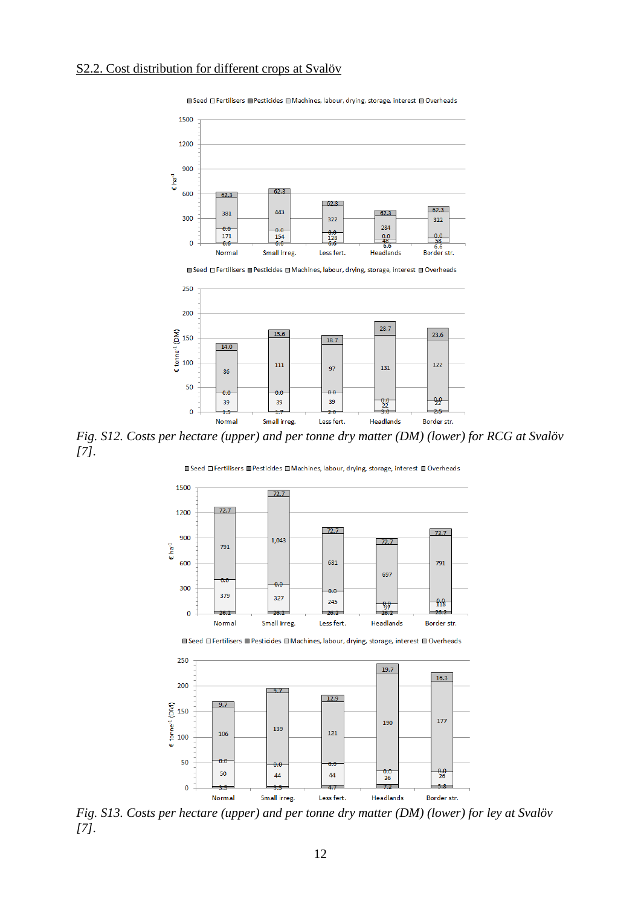Normal

 $\mathbf{0}$ 



**■ Seed □ Fertilisers ■ Pesticides □ Machines, labour, drying, storage, interest □ Overheads** 



39

Less fert.

 $\frac{0.0}{22}$ 

Headlands

39

Small irreg.

 $-99$ 

Border str.





*Fig. S13. Costs per hectare (upper) and per tonne dry matter (DM) (lower) for ley at Svalöv [7].*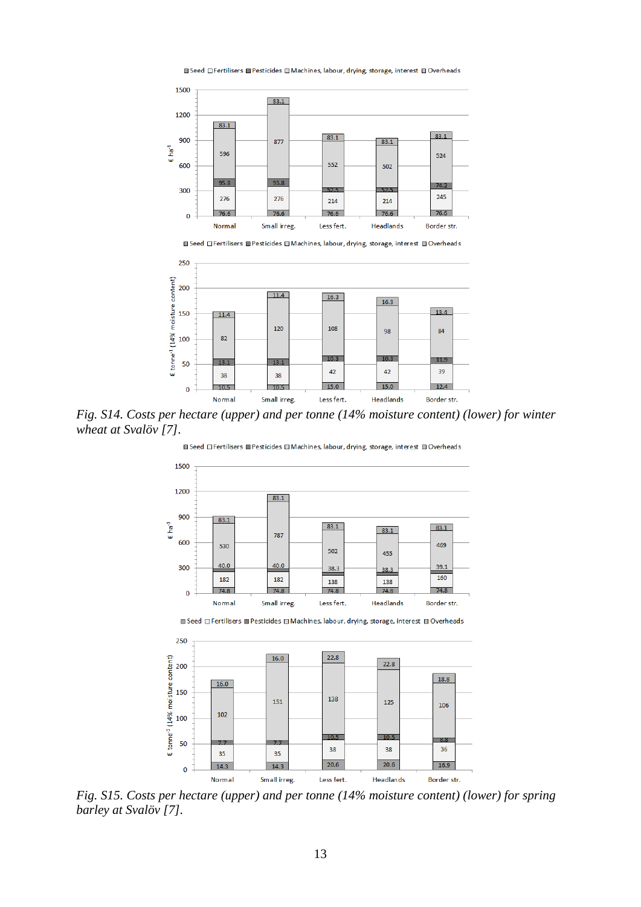

■ Seed □ Fertilisers ■ Pesticides ■ Machines, labour, drying, storage, interest ■ Overheads

*Fig. S14. Costs per hectare (upper) and per tonne (14% moisture content) (lower) for winter wheat at Svalöv [7].*

■ Seed □ Fertilisers ■ Pesticides □ Machines, labour, drying, storage, interest ■ Overheads



■ Seed □ Fertilisers ■ Pesticides ■ Machines, labour, drying, storage, interest ■ Overheads



*Fig. S15. Costs per hectare (upper) and per tonne (14% moisture content) (lower) for spring barley at Svalöv [7].*